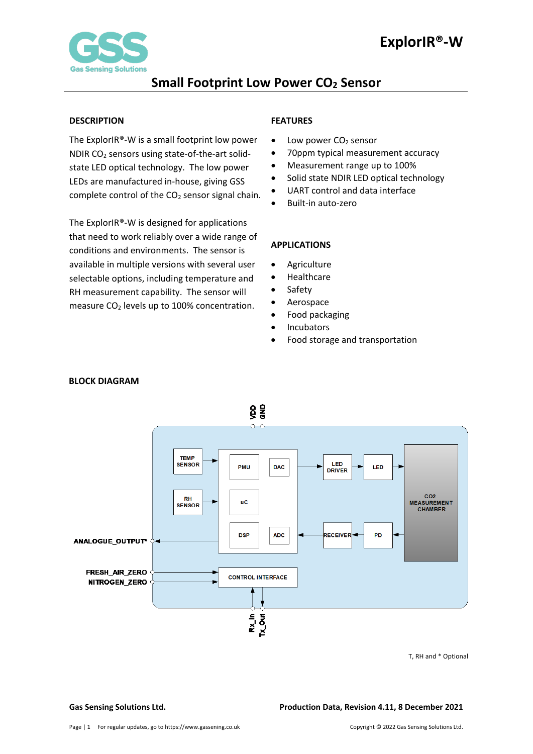

### <span id="page-0-0"></span>**DESCRIPTION**

The ExplorIR®-W is a small footprint low power NDIR CO2 sensors using state-of-the-art solidstate LED optical technology. The low power LEDs are manufactured in-house, giving GSS complete control of the  $CO<sub>2</sub>$  sensor signal chain.

The ExplorIR®-W is designed for applications that need to work reliably over a wide range of conditions and environments. The sensor is available in multiple versions with several user selectable options, including temperature and RH measurement capability. The sensor will measure  $CO<sub>2</sub>$  levels up to 100% concentration.

### <span id="page-0-1"></span>**FEATURES**

- Low power  $CO<sub>2</sub>$  sensor
- 70ppm typical measurement accuracy
- Measurement range up to 100%
- Solid state NDIR LED optical technology
- UART control and data interface
- Built-in auto-zero

### <span id="page-0-2"></span>**APPLICATIONS**

- **Agriculture**
- Healthcare
- **Safety**
- **Aerospace**
- Food packaging
- **Incubators**
- Food storage and transportation



### <span id="page-0-3"></span> **BLOCK DIAGRAM**

T, RH and \* Optional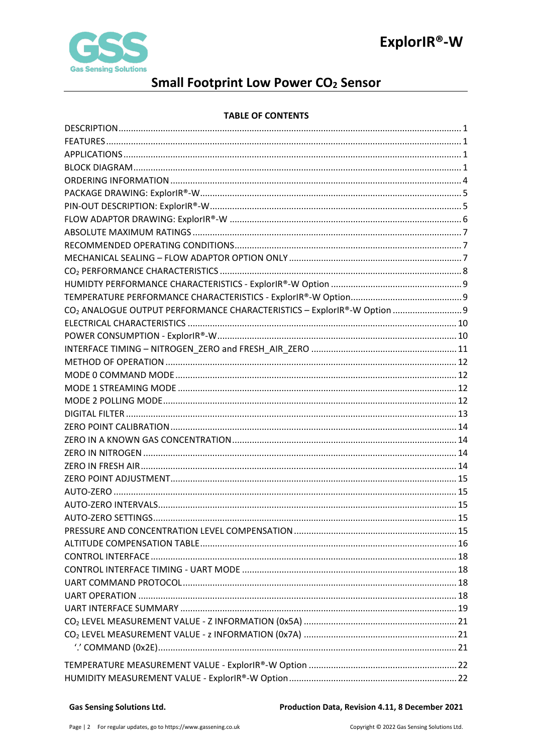

# **Small Footprint Low Power CO<sub>2</sub> Sensor**

### **TABLE OF CONTENTS**

| CO <sub>2</sub> ANALOGUE OUTPUT PERFORMANCE CHARACTERISTICS - ExplorIR®-W Option  9 |  |
|-------------------------------------------------------------------------------------|--|
|                                                                                     |  |
|                                                                                     |  |
|                                                                                     |  |
|                                                                                     |  |
|                                                                                     |  |
|                                                                                     |  |
|                                                                                     |  |
|                                                                                     |  |
|                                                                                     |  |
|                                                                                     |  |
|                                                                                     |  |
|                                                                                     |  |
|                                                                                     |  |
|                                                                                     |  |
|                                                                                     |  |
|                                                                                     |  |
|                                                                                     |  |
|                                                                                     |  |
|                                                                                     |  |
|                                                                                     |  |
|                                                                                     |  |
|                                                                                     |  |
|                                                                                     |  |
|                                                                                     |  |
|                                                                                     |  |
|                                                                                     |  |
|                                                                                     |  |
|                                                                                     |  |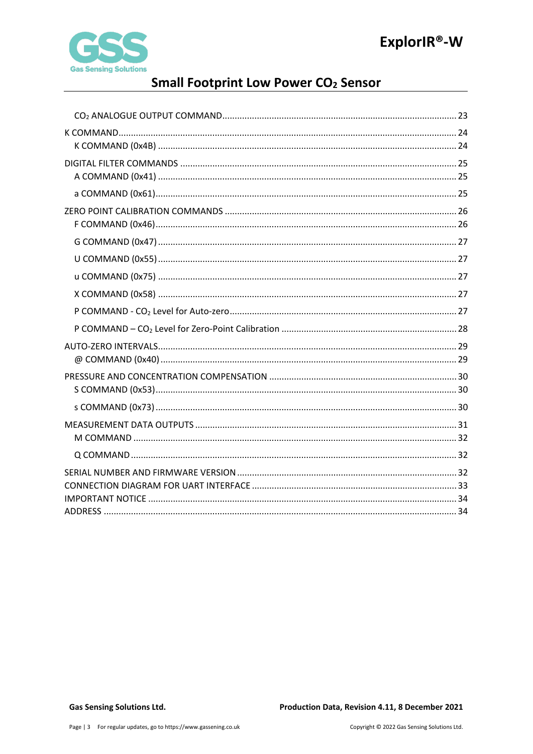

# **Small Footprint Low Power CO<sub>2</sub> Sensor**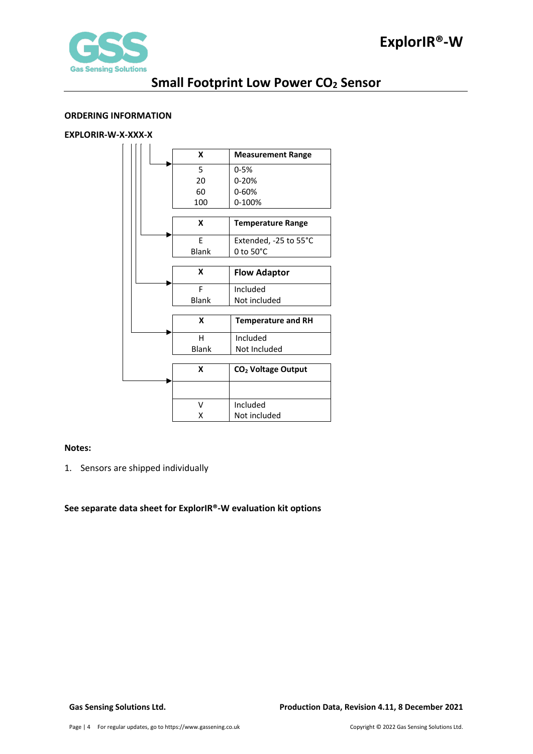

### <span id="page-3-0"></span>**ORDERING INFORMATION**

### **EXPLORIR-W-X-XXX-X**

|    | X            | <b>Measurement Range</b>       |  |  |
|----|--------------|--------------------------------|--|--|
|    | 5            | $0 - 5%$                       |  |  |
| 20 |              | $0 - 20%$                      |  |  |
| 60 |              | 0-60%                          |  |  |
|    | 100          | 0-100%                         |  |  |
|    |              |                                |  |  |
|    | X            | <b>Temperature Range</b>       |  |  |
|    | F            | Extended, -25 to 55°C          |  |  |
|    | <b>Blank</b> | $0$ to $50^{\circ}$ C          |  |  |
|    |              |                                |  |  |
| X  |              | <b>Flow Adaptor</b>            |  |  |
| F  |              | Included                       |  |  |
|    | <b>Blank</b> | Not included                   |  |  |
|    |              |                                |  |  |
|    | X            | <b>Temperature and RH</b>      |  |  |
|    | н            | Included                       |  |  |
|    | <b>Blank</b> | Not Included                   |  |  |
|    |              |                                |  |  |
|    | X            | CO <sub>2</sub> Voltage Output |  |  |
|    |              |                                |  |  |
|    | v            | Included                       |  |  |
|    | x            | Not included                   |  |  |

### **Notes:**

1. Sensors are shipped individually

**See separate data sheet for ExplorIR®-W evaluation kit options**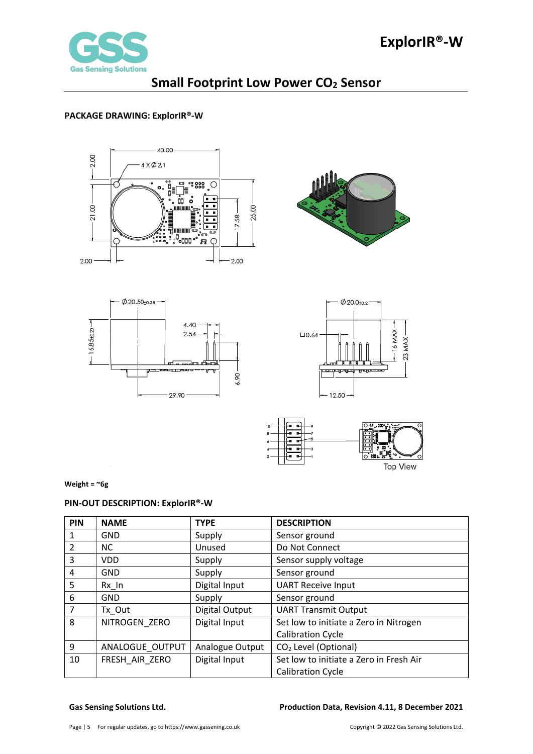

### <span id="page-4-0"></span>**PACKAGE DRAWING: ExplorIR®-W**











**Weight = ~6g**

### <span id="page-4-1"></span>**PIN-OUT DESCRIPTION: ExplorIR®-W**

| PIN | <b>NAME</b>     | <b>TYPE</b>     | <b>DESCRIPTION</b>                      |
|-----|-----------------|-----------------|-----------------------------------------|
|     | <b>GND</b>      | Supply          | Sensor ground                           |
| 2   | <b>NC</b>       | Unused          | Do Not Connect                          |
| 3   | <b>VDD</b>      | Supply          | Sensor supply voltage                   |
| 4   | <b>GND</b>      | Supply          | Sensor ground                           |
| 5   | $Rx$ In         | Digital Input   | <b>UART Receive Input</b>               |
| 6   | <b>GND</b>      | Supply          | Sensor ground                           |
| 7   | Tx Out          | Digital Output  | <b>UART Transmit Output</b>             |
| 8   | NITROGEN ZERO   | Digital Input   | Set low to initiate a Zero in Nitrogen  |
|     |                 |                 | <b>Calibration Cycle</b>                |
| 9   | ANALOGUE OUTPUT | Analogue Output | CO <sub>2</sub> Level (Optional)        |
| 10  | FRESH AIR ZERO  | Digital Input   | Set low to initiate a Zero in Fresh Air |
|     |                 |                 | <b>Calibration Cycle</b>                |

### **Gas Sensing Solutions Ltd. Production Data, Revision 4.11, 8 December 2021**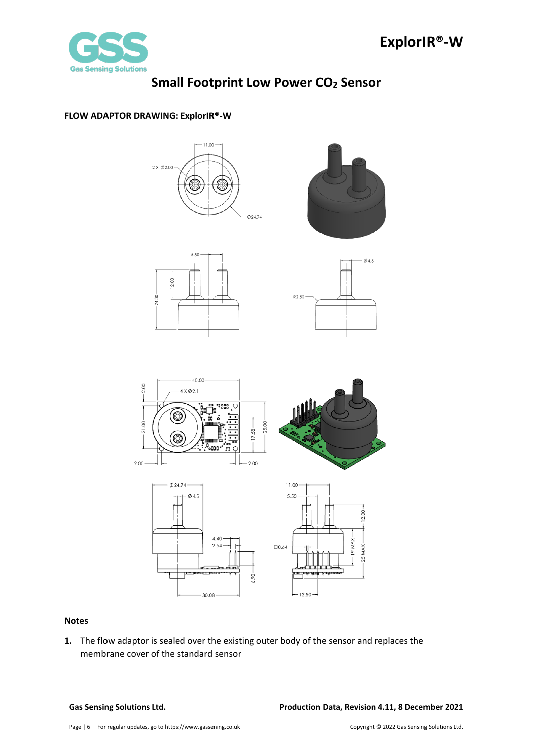

### <span id="page-5-0"></span>**FLOW ADAPTOR DRAWING: ExplorIR®-W**











 $-12.50 -$ 

### **Notes**

**1.** The flow adaptor is sealed over the existing outer body of the sensor and replaces the membrane cover of the standard sensor

 $-30.08 -$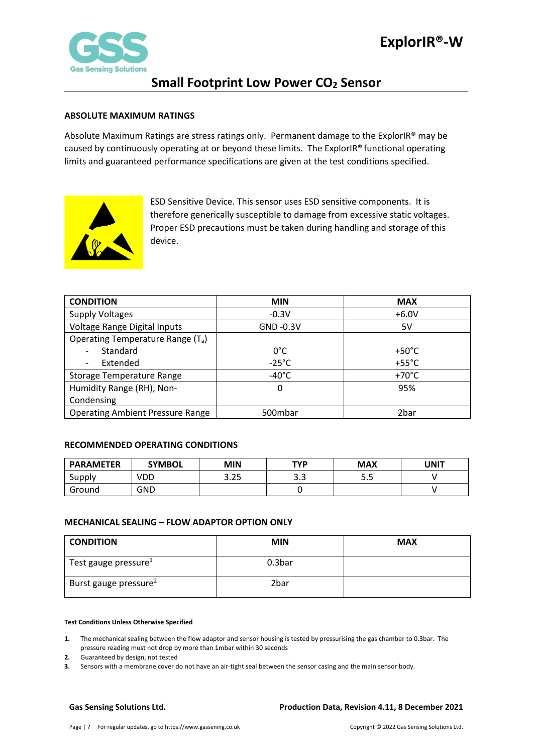

### <span id="page-6-0"></span>**ABSOLUTE MAXIMUM RATINGS**

Absolute Maximum Ratings are stress ratings only. Permanent damage to the ExplorIR® may be caused by continuously operating at or beyond these limits. The ExplorIR® functional operating limits and guaranteed performance specifications are given at the test conditions specified.



ESD Sensitive Device. This sensor uses ESD sensitive components. It is therefore generically susceptible to damage from excessive static voltages. Proper ESD precautions must be taken during handling and storage of this device.

| <b>CONDITION</b>                              | <b>MIN</b>      | <b>MAX</b>      |
|-----------------------------------------------|-----------------|-----------------|
| <b>Supply Voltages</b>                        | $-0.3V$         | $+6.0V$         |
| Voltage Range Digital Inputs                  | $GND -0.3V$     | 5V              |
| Operating Temperature Range (T <sub>a</sub> ) |                 |                 |
| Standard                                      | $0^{\circ}$ C   | $+50^{\circ}$ C |
| Extended                                      | $-25^{\circ}$ C | $+55^{\circ}$ C |
| Storage Temperature Range                     | $-40^{\circ}$ C | $+70^{\circ}$ C |
| Humidity Range (RH), Non-                     | 0               | 95%             |
| Condensing                                    |                 |                 |
| <b>Operating Ambient Pressure Range</b>       | 500mbar         | 2bar            |

### <span id="page-6-1"></span>**RECOMMENDED OPERATING CONDITIONS**

| <b>PARAMETER</b> | <b>SYMBOL</b> | <b>MIN</b> | <b>TYP</b>  | <b>MAX</b> | UNIT |
|------------------|---------------|------------|-------------|------------|------|
| Supply           | VDD           | 3.25       | ົາ າ<br>ر.ر | J.J        |      |
| Ground           | GND           |            |             |            |      |

### <span id="page-6-2"></span>**MECHANICAL SEALING – FLOW ADAPTOR OPTION ONLY**

| <b>CONDITION</b>                  | <b>MIN</b> | <b>MAX</b> |
|-----------------------------------|------------|------------|
| Test gauge pressure <sup>1</sup>  | 0.3bar     |            |
| Burst gauge pressure <sup>2</sup> | 2bar       |            |

### **Test Conditions Unless Otherwise Specified**

**1.** The mechanical sealing between the flow adaptor and sensor housing is tested by pressurising the gas chamber to 0.3bar. The pressure reading must not drop by more than 1mbar within 30 seconds

- **2.** Guaranteed by design, not tested
- **3.** Sensors with a membrane cover do not have an air-tight seal between the sensor casing and the main sensor body.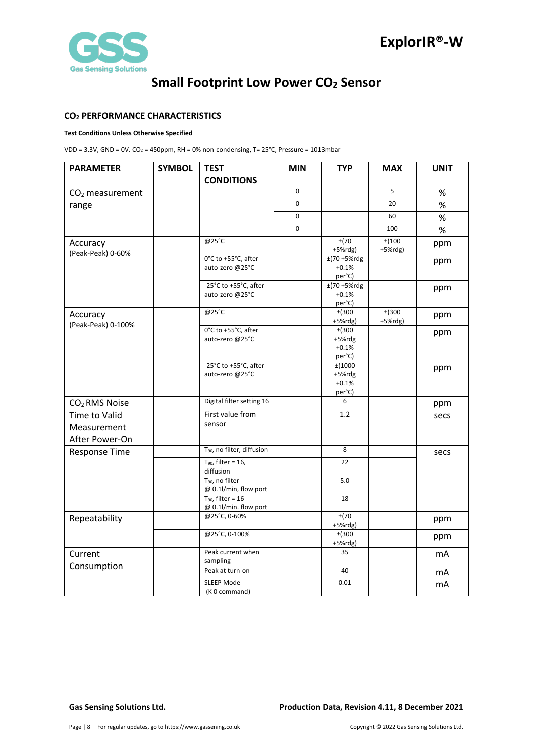

### <span id="page-7-0"></span>**CO2 PERFORMANCE CHARACTERISTICS**

### **Test Conditions Unless Otherwise Specified**

VDD = 3.3V, GND = 0V.  $CO_2$  = 450ppm, RH = 0% non-condensing, T= 25°C, Pressure = 1013mbar

| <b>PARAMETER</b>                               | <b>SYMBOL</b> | <b>TEST</b>                                          | <b>MIN</b> | <b>TYP</b>                            | <b>MAX</b>          | <b>UNIT</b> |
|------------------------------------------------|---------------|------------------------------------------------------|------------|---------------------------------------|---------------------|-------------|
|                                                |               | <b>CONDITIONS</b>                                    |            |                                       |                     |             |
| CO <sub>2</sub> measurement                    |               |                                                      | 0          |                                       | 5                   | $\%$        |
| range                                          |               |                                                      | 0          |                                       | 20                  | %           |
|                                                |               |                                                      | 0          |                                       | 60                  | $\%$        |
|                                                |               |                                                      | 0          |                                       | 100                 | $\%$        |
| Accuracy<br>(Peak-Peak) 0-60%                  |               | @25°C                                                |            | ±(70<br>$+5%$ rdg)                    | ±(100<br>$+5%$ rdg) | ppm         |
|                                                |               | 0°C to +55°C, after<br>auto-zero @25°C               |            | $±(70 + 5%$ rdg<br>$+0.1%$<br>per°C)  |                     | ppm         |
|                                                |               | -25°C to +55°C, after<br>auto-zero @25°C             |            | ±(70+5%rdg<br>$+0.1%$<br>per°C)       |                     | ppm         |
| Accuracy<br>(Peak-Peak) 0-100%                 |               | @25°C                                                |            | ±(300<br>$+5%$ rdg)                   | ±(300<br>$+5%$ rdg) | ppm         |
|                                                |               | 0°C to +55°C, after<br>auto-zero @25°C               |            | ±(300<br>+5%rdg<br>$+0.1%$<br>per°C)  |                     | ppm         |
|                                                |               | -25°C to +55°C, after<br>auto-zero @25°C             |            | ±(1000<br>+5%rdg<br>$+0.1%$<br>per°C) |                     | ppm         |
| CO <sub>2</sub> RMS Noise                      |               | Digital filter setting 16                            |            | 6                                     |                     | ppm         |
| Time to Valid<br>Measurement<br>After Power-On |               | First value from<br>sensor                           |            | 1.2                                   |                     | secs        |
| <b>Response Time</b>                           |               | T <sub>90</sub> , no filter, diffusion               |            | 8                                     |                     | secs        |
|                                                |               | $T_{90}$ , filter = 16,<br>diffusion                 |            | 22                                    |                     |             |
|                                                |               | T <sub>90</sub> , no filter<br>@ 0.1l/min, flow port |            | 5.0                                   |                     |             |
|                                                |               | $T_{90}$ , filter = 16<br>@ 0.1l/min. flow port      |            | 18                                    |                     |             |
| Repeatability                                  |               | @25°C, 0-60%                                         |            | ±(70<br>$+5%$ rdg)                    |                     | ppm         |
|                                                |               | @25°C, 0-100%                                        |            | ±(300<br>+5%rdg)                      |                     | ppm         |
| Current                                        |               | Peak current when<br>sampling                        |            | 35                                    |                     | mA          |
| Consumption                                    |               | Peak at turn-on                                      |            | 40                                    |                     | mA          |
|                                                |               | <b>SLEEP Mode</b><br>(K 0 command)                   |            | 0.01                                  |                     | mA          |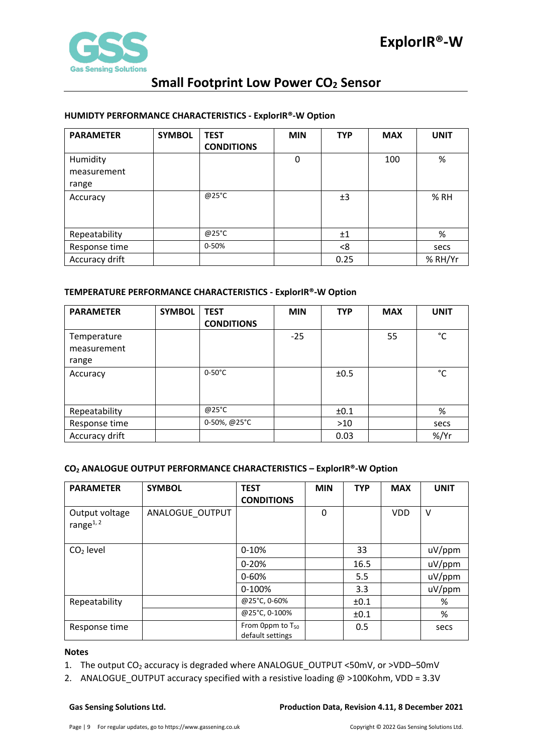

### <span id="page-8-0"></span>**HUMIDTY PERFORMANCE CHARACTERISTICS - ExplorIR®-W Option**

| <b>PARAMETER</b> | <b>SYMBOL</b> | <b>TEST</b><br><b>CONDITIONS</b> | <b>MIN</b> | <b>TYP</b> | <b>MAX</b> | <b>UNIT</b> |
|------------------|---------------|----------------------------------|------------|------------|------------|-------------|
| Humidity         |               |                                  | 0          |            | 100        | %           |
| measurement      |               |                                  |            |            |            |             |
| range            |               |                                  |            |            |            |             |
| Accuracy         |               | @25°C                            |            | ±3         |            | % RH        |
|                  |               |                                  |            |            |            |             |
| Repeatability    |               | @25°C                            |            | ±1         |            | %           |
| Response time    |               | 0-50%                            |            | <8         |            | secs        |
| Accuracy drift   |               |                                  |            | 0.25       |            | % RH/Yr     |

### <span id="page-8-1"></span>**TEMPERATURE PERFORMANCE CHARACTERISTICS - ExplorIR®-W Option**

| <b>PARAMETER</b>           | <b>SYMBOL</b> | <b>TEST</b><br><b>CONDITIONS</b> | <b>MIN</b> | <b>TYP</b> | <b>MAX</b> | <b>UNIT</b> |
|----------------------------|---------------|----------------------------------|------------|------------|------------|-------------|
| Temperature<br>measurement |               |                                  | $-25$      |            | 55         | °C          |
| range                      |               |                                  |            |            |            |             |
| Accuracy                   |               | $0-50^{\circ}$ C                 |            | ±0.5       |            | °C          |
| Repeatability              |               | @25°C                            |            | ±0.1       |            | %           |
| Response time              |               | 0-50%, @25°C                     |            | $>10$      |            | secs        |
| Accuracy drift             |               |                                  |            | 0.03       |            | $%$ /Yr     |

### <span id="page-8-2"></span>**CO2 ANALOGUE OUTPUT PERFORMANCE CHARACTERISTICS – ExplorIR®-W Option**

| <b>PARAMETER</b>               | <b>SYMBOL</b>   | <b>TEST</b><br><b>CONDITIONS</b>                 | <b>MIN</b> | <b>TYP</b> | <b>MAX</b> | <b>UNIT</b> |
|--------------------------------|-----------------|--------------------------------------------------|------------|------------|------------|-------------|
| Output voltage<br>range $1, 2$ | ANALOGUE OUTPUT |                                                  | 0          |            | <b>VDD</b> | v           |
| $CO2$ level                    |                 | $0 - 10%$                                        |            | 33         |            | uV/ppm      |
|                                |                 | $0 - 20%$                                        |            | 16.5       |            | uV/ppm      |
|                                |                 | $0 - 60%$                                        |            | 5.5        |            | uV/ppm      |
|                                |                 | 0-100%                                           |            | 3.3        |            | uV/ppm      |
| Repeatability                  |                 | @25°C, 0-60%                                     |            | ±0.1       |            | %           |
|                                |                 | @25°C, 0-100%                                    |            | ±0.1       |            | %           |
| Response time                  |                 | From 0ppm to T <sub>50</sub><br>default settings |            | 0.5        |            | secs        |

### **Notes**

1. The output CO<sub>2</sub> accuracy is degraded where ANALOGUE\_OUTPUT <50mV, or >VDD-50mV

2. ANALOGUE\_OUTPUT accuracy specified with a resistive loading  $@>100K$ ohm, VDD = 3.3V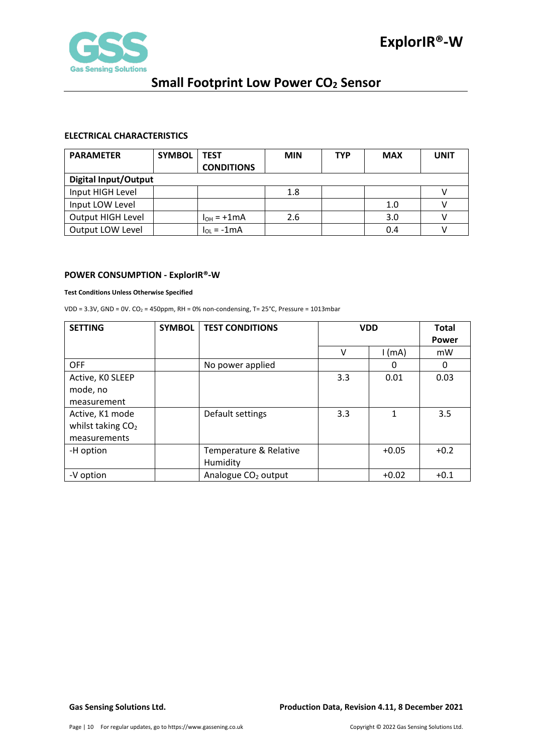

### <span id="page-9-0"></span>**ELECTRICAL CHARACTERISTICS**

| <b>PARAMETER</b>            | <b>SYMBOL</b> | <b>TEST</b>       | <b>MIN</b> | <b>TYP</b> | <b>MAX</b> | UNIT |
|-----------------------------|---------------|-------------------|------------|------------|------------|------|
|                             |               | <b>CONDITIONS</b> |            |            |            |      |
| <b>Digital Input/Output</b> |               |                   |            |            |            |      |
| Input HIGH Level            |               |                   | 1.8        |            |            |      |
| Input LOW Level             |               |                   |            |            | 1.0        |      |
| Output HIGH Level           |               | $I_{OH}$ = +1 mA  | 2.6        |            | 3.0        |      |
| Output LOW Level            |               | $I_{OL}$ = -1 mA  |            |            | 0.4        |      |

### <span id="page-9-1"></span>**POWER CONSUMPTION - ExplorIR®-W**

### **Test Conditions Unless Otherwise Specified**

VDD =  $3.3V$ , GND = 0V. CO<sub>2</sub> = 450ppm, RH = 0% non-condensing, T=  $25^{\circ}$ C, Pressure = 1013mbar

| <b>SETTING</b>      | <b>SYMBOL</b> | <b>TEST CONDITIONS</b>          | <b>VDD</b> |          | <b>Total</b><br><b>Power</b> |
|---------------------|---------------|---------------------------------|------------|----------|------------------------------|
|                     |               |                                 | v          | $1$ (mA) | mW                           |
| <b>OFF</b>          |               | No power applied                |            | 0        | 0                            |
| Active, KO SLEEP    |               |                                 | 3.3        | 0.01     | 0.03                         |
| mode, no            |               |                                 |            |          |                              |
| measurement         |               |                                 |            |          |                              |
| Active, K1 mode     |               | Default settings                | 3.3        | 1        | 3.5                          |
| whilst taking $CO2$ |               |                                 |            |          |                              |
| measurements        |               |                                 |            |          |                              |
| -H option           |               | Temperature & Relative          |            | $+0.05$  | $+0.2$                       |
|                     |               | Humidity                        |            |          |                              |
| -V option           |               | Analogue CO <sub>2</sub> output |            | $+0.02$  | $+0.1$                       |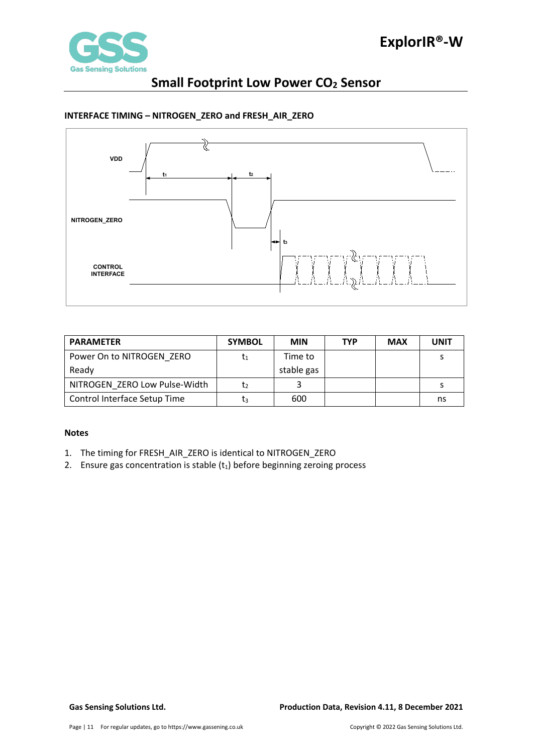

### <span id="page-10-0"></span>**INTERFACE TIMING – NITROGEN\_ZERO and FRESH\_AIR\_ZERO**



| <b>PARAMETER</b>              | <b>SYMBOL</b> | <b>MIN</b> | <b>TYP</b> | <b>MAX</b> | <b>UNIT</b> |
|-------------------------------|---------------|------------|------------|------------|-------------|
| Power On to NITROGEN ZERO     |               | Time to    |            |            |             |
| Ready                         |               | stable gas |            |            |             |
| NITROGEN ZERO Low Pulse-Width | T2            |            |            |            |             |
| Control Interface Setup Time  | lз            | 600        |            |            | ns          |

### **Notes**

- 1. The timing for FRESH\_AIR\_ZERO is identical to NITROGEN\_ZERO
- 2. Ensure gas concentration is stable  $(t_1)$  before beginning zeroing process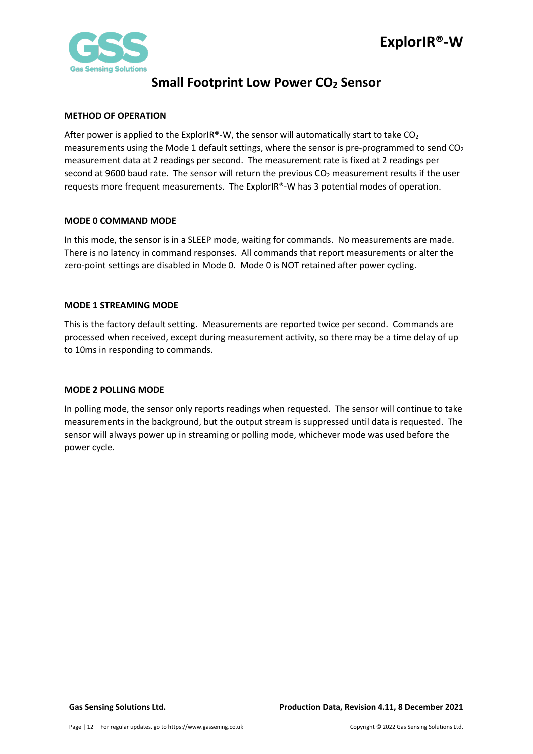

### <span id="page-11-0"></span>**METHOD OF OPERATION**

After power is applied to the ExplorIR®-W, the sensor will automatically start to take  $CO<sub>2</sub>$ measurements using the Mode 1 default settings, where the sensor is pre-programmed to send  $CO<sub>2</sub>$ measurement data at 2 readings per second. The measurement rate is fixed at 2 readings per second at 9600 baud rate. The sensor will return the previous CO<sub>2</sub> measurement results if the user requests more frequent measurements. The ExplorIR®-W has 3 potential modes of operation.

### <span id="page-11-1"></span>**MODE 0 COMMAND MODE**

In this mode, the sensor is in a SLEEP mode, waiting for commands. No measurements are made. There is no latency in command responses. All commands that report measurements or alter the zero-point settings are disabled in Mode 0. Mode 0 is NOT retained after power cycling.

### <span id="page-11-2"></span>**MODE 1 STREAMING MODE**

This is the factory default setting. Measurements are reported twice per second. Commands are processed when received, except during measurement activity, so there may be a time delay of up to 10ms in responding to commands.

### <span id="page-11-3"></span>**MODE 2 POLLING MODE**

In polling mode, the sensor only reports readings when requested. The sensor will continue to take measurements in the background, but the output stream is suppressed until data is requested. The sensor will always power up in streaming or polling mode, whichever mode was used before the power cycle.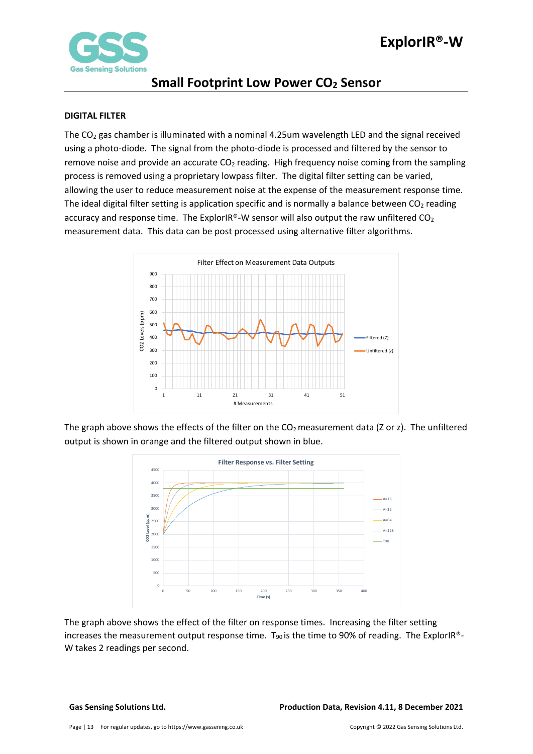

### <span id="page-12-0"></span>**DIGITAL FILTER**

The  $CO<sub>2</sub>$  gas chamber is illuminated with a nominal 4.25um wavelength LED and the signal received using a photo-diode. The signal from the photo-diode is processed and filtered by the sensor to remove noise and provide an accurate  $CO<sub>2</sub>$  reading. High frequency noise coming from the sampling process is removed using a proprietary lowpass filter. The digital filter setting can be varied, allowing the user to reduce measurement noise at the expense of the measurement response time. The ideal digital filter setting is application specific and is normally a balance between  $CO<sub>2</sub>$  reading accuracy and response time. The ExplorIR®-W sensor will also output the raw unfiltered  $CO<sub>2</sub>$ measurement data. This data can be post processed using alternative filter algorithms.



The graph above shows the effects of the filter on the  $CO<sub>2</sub>$  measurement data (Z or z). The unfiltered output is shown in orange and the filtered output shown in blue.



The graph above shows the effect of the filter on response times. Increasing the filter setting increases the measurement output response time.  $T_{90}$  is the time to 90% of reading. The ExplorIR®-W takes 2 readings per second.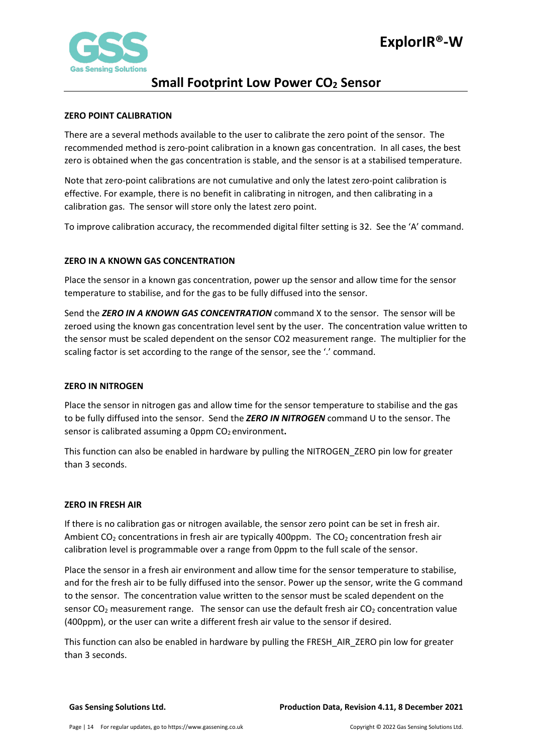

## **Small Footprint Low Power CO<sub>2</sub> Sensor**

### <span id="page-13-0"></span>**ZERO POINT CALIBRATION**

There are a several methods available to the user to calibrate the zero point of the sensor. The recommended method is zero-point calibration in a known gas concentration. In all cases, the best zero is obtained when the gas concentration is stable, and the sensor is at a stabilised temperature.

Note that zero-point calibrations are not cumulative and only the latest zero-point calibration is effective. For example, there is no benefit in calibrating in nitrogen, and then calibrating in a calibration gas. The sensor will store only the latest zero point.

To improve calibration accuracy, the recommended digital filter setting is 32. See the 'A' command.

### <span id="page-13-1"></span>**ZERO IN A KNOWN GAS CONCENTRATION**

Place the sensor in a known gas concentration, power up the sensor and allow time for the sensor temperature to stabilise, and for the gas to be fully diffused into the sensor.

Send the *ZERO IN A KNOWN GAS CONCENTRATION* command X to the sensor. The sensor will be zeroed using the known gas concentration level sent by the user. The concentration value written to the sensor must be scaled dependent on the sensor CO2 measurement range. The multiplier for the scaling factor is set according to the range of the sensor, see the '.' command.

### <span id="page-13-2"></span>**ZERO IN NITROGEN**

Place the sensor in nitrogen gas and allow time for the sensor temperature to stabilise and the gas to be fully diffused into the sensor. Send the *ZERO IN NITROGEN* command U to the sensor. The sensor is calibrated assuming a 0ppm CO<sub>2</sub> environment.

This function can also be enabled in hardware by pulling the NITROGEN\_ZERO pin low for greater than 3 seconds.

### <span id="page-13-3"></span>**ZERO IN FRESH AIR**

If there is no calibration gas or nitrogen available, the sensor zero point can be set in fresh air. Ambient  $CO<sub>2</sub>$  concentrations in fresh air are typically 400ppm. The  $CO<sub>2</sub>$  concentration fresh air calibration level is programmable over a range from 0ppm to the full scale of the sensor.

Place the sensor in a fresh air environment and allow time for the sensor temperature to stabilise, and for the fresh air to be fully diffused into the sensor. Power up the sensor, write the G command to the sensor. The concentration value written to the sensor must be scaled dependent on the sensor  $CO<sub>2</sub>$  measurement range. The sensor can use the default fresh air  $CO<sub>2</sub>$  concentration value (400ppm), or the user can write a different fresh air value to the sensor if desired.

This function can also be enabled in hardware by pulling the FRESH\_AIR\_ZERO pin low for greater than 3 seconds.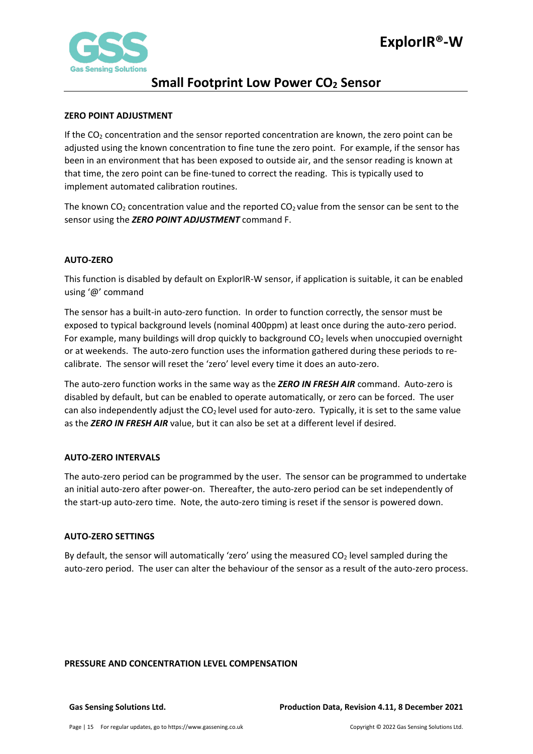

## **Small Footprint Low Power CO<sub>2</sub> Sensor**

### <span id="page-14-0"></span>**ZERO POINT ADJUSTMENT**

If the  $CO<sub>2</sub>$  concentration and the sensor reported concentration are known, the zero point can be adjusted using the known concentration to fine tune the zero point. For example, if the sensor has been in an environment that has been exposed to outside air, and the sensor reading is known at that time, the zero point can be fine-tuned to correct the reading. This is typically used to implement automated calibration routines.

The known  $CO<sub>2</sub>$  concentration value and the reported  $CO<sub>2</sub>$  value from the sensor can be sent to the sensor using the *ZERO POINT ADJUSTMENT* command F.

### <span id="page-14-1"></span>**AUTO-ZERO**

This function is disabled by default on ExplorIR-W sensor, if application is suitable, it can be enabled using '@' command

The sensor has a built-in auto-zero function. In order to function correctly, the sensor must be exposed to typical background levels (nominal 400ppm) at least once during the auto-zero period. For example, many buildings will drop quickly to background  $CO<sub>2</sub>$  levels when unoccupied overnight or at weekends. The auto-zero function uses the information gathered during these periods to recalibrate. The sensor will reset the 'zero' level every time it does an auto-zero.

The auto-zero function works in the same way as the *ZERO IN FRESH AIR* command. Auto-zero is disabled by default, but can be enabled to operate automatically, or zero can be forced. The user can also independently adjust the  $CO<sub>2</sub>$  level used for auto-zero. Typically, it is set to the same value as the *ZERO IN FRESH AIR* value, but it can also be set at a different level if desired.

### <span id="page-14-2"></span>**AUTO-ZERO INTERVALS**

The auto-zero period can be programmed by the user. The sensor can be programmed to undertake an initial auto-zero after power-on. Thereafter, the auto-zero period can be set independently of the start-up auto-zero time. Note, the auto-zero timing is reset if the sensor is powered down.

### <span id="page-14-3"></span>**AUTO-ZERO SETTINGS**

By default, the sensor will automatically 'zero' using the measured  $CO<sub>2</sub>$  level sampled during the auto-zero period. The user can alter the behaviour of the sensor as a result of the auto-zero process.

### <span id="page-14-4"></span>**PRESSURE AND CONCENTRATION LEVEL COMPENSATION**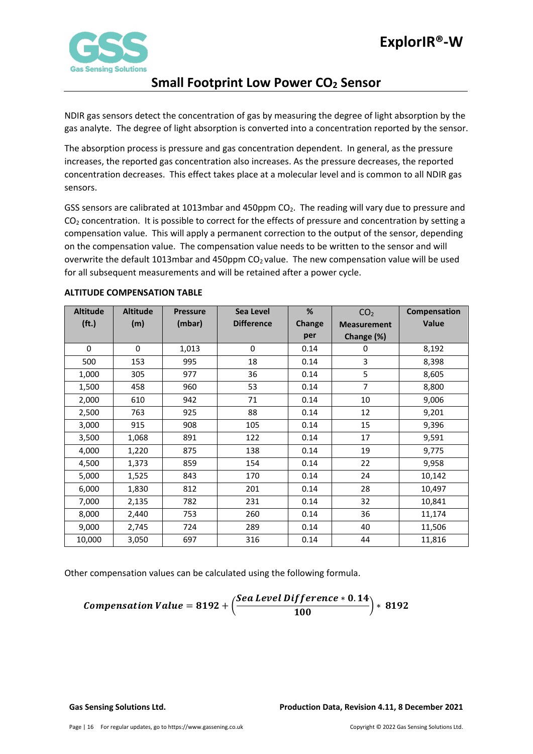

NDIR gas sensors detect the concentration of gas by measuring the degree of light absorption by the gas analyte. The degree of light absorption is converted into a concentration reported by the sensor.

The absorption process is pressure and gas concentration dependent. In general, as the pressure increases, the reported gas concentration also increases. As the pressure decreases, the reported concentration decreases. This effect takes place at a molecular level and is common to all NDIR gas sensors.

GSS sensors are calibrated at 1013mbar and 450ppm  $CO<sub>2</sub>$ . The reading will vary due to pressure and CO2 concentration. It is possible to correct for the effects of pressure and concentration by setting a compensation value. This will apply a permanent correction to the output of the sensor, depending on the compensation value. The compensation value needs to be written to the sensor and will overwrite the default 1013mbar and 450ppm  $CO<sub>2</sub>$  value. The new compensation value will be used for all subsequent measurements and will be retained after a power cycle.

| <b>Altitude</b>   | <b>Altitude</b> | <b>Pressure</b> | Sea Level         | %             | CO <sub>2</sub>    | Compensation |
|-------------------|-----------------|-----------------|-------------------|---------------|--------------------|--------------|
| (f <sub>t</sub> ) | (m)             | (mbar)          | <b>Difference</b> | <b>Change</b> | <b>Measurement</b> | <b>Value</b> |
|                   |                 |                 |                   | per           | Change (%)         |              |
| $\Omega$          | 0               | 1,013           | $\mathbf{0}$      | 0.14          | 0                  | 8,192        |
| 500               | 153             | 995             | 18                | 0.14          | 3                  | 8,398        |
| 1,000             | 305             | 977             | 36                | 0.14          | 5                  | 8,605        |
| 1,500             | 458             | 960             | 53                | 0.14          | $\overline{7}$     | 8,800        |
| 2,000             | 610             | 942             | 71                | 0.14          | 10                 | 9,006        |
| 2,500             | 763             | 925             | 88                | 0.14          | 12                 | 9,201        |
| 3,000             | 915             | 908             | 105               | 0.14          | 15                 | 9,396        |
| 3,500             | 1,068           | 891             | 122               | 0.14          | 17                 | 9,591        |
| 4,000             | 1,220           | 875             | 138               | 0.14          | 19                 | 9,775        |
| 4,500             | 1,373           | 859             | 154               | 0.14          | 22                 | 9,958        |
| 5,000             | 1,525           | 843             | 170               | 0.14          | 24                 | 10,142       |
| 6,000             | 1,830           | 812             | 201               | 0.14          | 28                 | 10,497       |
| 7,000             | 2,135           | 782             | 231               | 0.14          | 32                 | 10,841       |
| 8,000             | 2,440           | 753             | 260               | 0.14          | 36                 | 11,174       |
| 9,000             | 2,745           | 724             | 289               | 0.14          | 40                 | 11,506       |
| 10,000            | 3,050           | 697             | 316               | 0.14          | 44                 | 11,816       |

### <span id="page-15-0"></span>**ALTITUDE COMPENSATION TABLE**

Other compensation values can be calculated using the following formula.

**Comparison Value = 8192 +** 
$$
\left( \frac{See a Level Difference * 0.14}{100} \right) * 8192
$$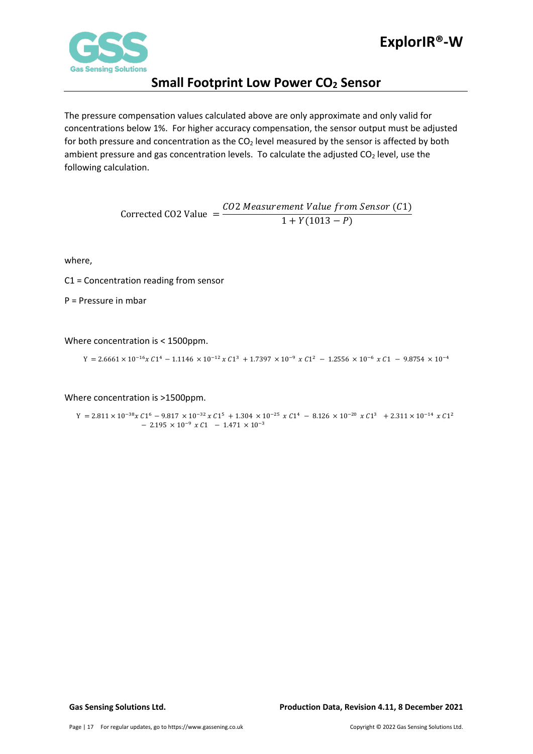

The pressure compensation values calculated above are only approximate and only valid for concentrations below 1%. For higher accuracy compensation, the sensor output must be adjusted for both pressure and concentration as the  $CO<sub>2</sub>$  level measured by the sensor is affected by both ambient pressure and gas concentration levels. To calculate the adjusted  $CO<sub>2</sub>$  level, use the following calculation.

> Corrected CO2 Value  $=$   $\frac{CO2 \text{ Measurement Value from Sensor (C1)}}{1 + V(1013 - P)}$  $1 + Y(1013 - P)$

where,

C1 = Concentration reading from sensor

P = Pressure in mbar

Where concentration is < 1500ppm.

 $Y = 2.6661 \times 10^{-16} x C1^4 - 1.1146 \times 10^{-12} x C1^3 + 1.7397 \times 10^{-9} x C1^2 - 1.2556 \times 10^{-6} x C1 - 9.8754 \times 10^{-4}$ 

Where concentration is >1500ppm.

 $\Upsilon = 2.811 \times 10^{-38} \chi \, C1^6 \, - \, 9.817 \, \times 10^{-32} \, \chi \, C1^5 \, + \, 1.304 \, \times 10^{-25} \, \chi \, C1^4 \, - \, 8.126 \, \times 10^{-20} \, \chi \, C1^3 \ \, + \, 2.311 \times 10^{-14} \, \chi \, C1^2$  $-$  2.195  $\times$  10<sup>-9</sup>  $\times$  C1  $-$  1.471  $\times$  10<sup>-3</sup>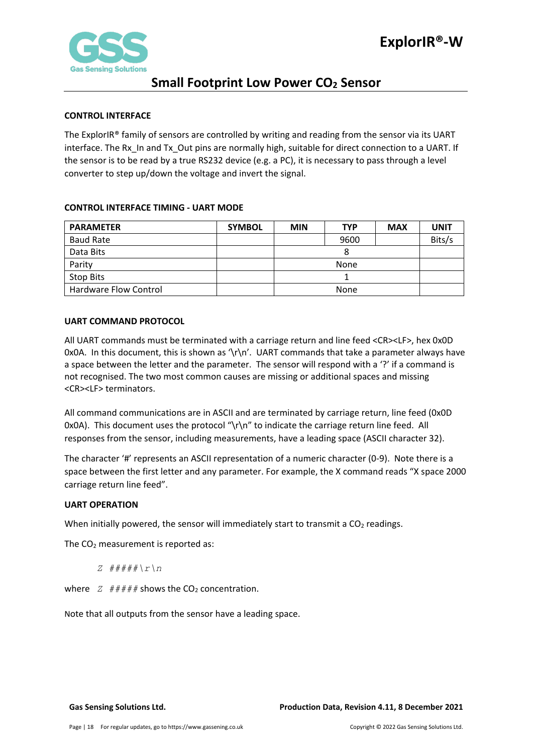

### <span id="page-17-0"></span>**CONTROL INTERFACE**

The ExplorIR® family of sensors are controlled by writing and reading from the sensor via its UART interface. The Rx\_In and Tx\_Out pins are normally high, suitable for direct connection to a UART. If the sensor is to be read by a true RS232 device (e.g. a PC), it is necessary to pass through a level converter to step up/down the voltage and invert the signal.

### <span id="page-17-1"></span>**CONTROL INTERFACE TIMING - UART MODE**

| <b>PARAMETER</b>      | <b>SYMBOL</b> | <b>MIN</b> | <b>TYP</b> | <b>MAX</b> | <b>UNIT</b> |
|-----------------------|---------------|------------|------------|------------|-------------|
| <b>Baud Rate</b>      |               |            | 9600       |            | Bits/s      |
| Data Bits             |               | 8          |            |            |             |
| Parity                |               | None       |            |            |             |
| Stop Bits             |               |            |            |            |             |
| Hardware Flow Control |               |            | None       |            |             |

### <span id="page-17-2"></span>**UART COMMAND PROTOCOL**

All UART commands must be terminated with a carriage return and line feed <CR><LF>, hex 0x0D 0x0A. In this document, this is shown as '\r\n'. UART commands that take a parameter always have a space between the letter and the parameter. The sensor will respond with a '?' if a command is not recognised. The two most common causes are missing or additional spaces and missing <CR><LF> terminators.

All command communications are in ASCII and are terminated by carriage return, line feed (0x0D 0x0A). This document uses the protocol " $\gamma \nabla$ " to indicate the carriage return line feed. All responses from the sensor, including measurements, have a leading space (ASCII character 32).

The character '#' represents an ASCII representation of a numeric character (0-9). Note there is a space between the first letter and any parameter. For example, the X command reads "X space 2000 carriage return line feed".

### <span id="page-17-3"></span>**UART OPERATION**

When initially powered, the sensor will immediately start to transmit a  $CO<sub>2</sub>$  readings.

The  $CO<sub>2</sub>$  measurement is reported as:

*Z #####\r\n*

where  $Z \neq \# \# \# \#$  shows the CO<sub>2</sub> concentration.

Note that all outputs from the sensor have a leading space.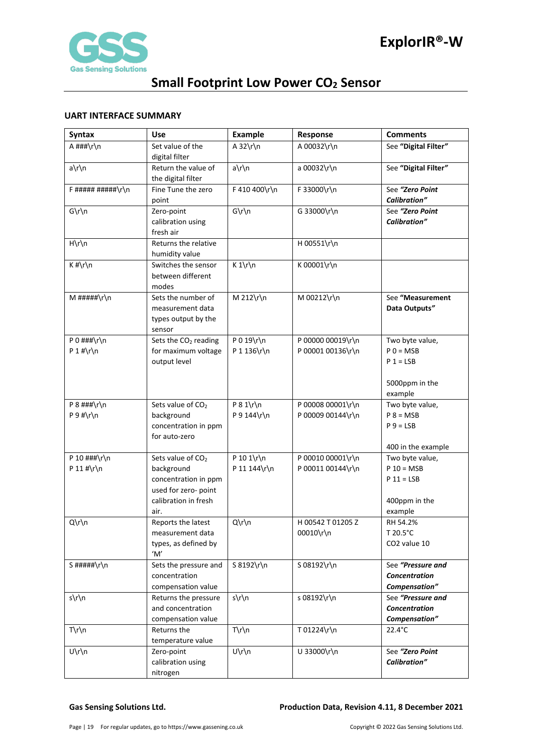

### <span id="page-18-0"></span>**UART INTERFACE SUMMARY**

| <b>Syntax</b>      | <b>Use</b>                              | Example         | Response                             | <b>Comments</b>                        |
|--------------------|-----------------------------------------|-----------------|--------------------------------------|----------------------------------------|
| A ###\r\n          | Set value of the                        | A $32\r\ln$     | A 00032\r\n                          | See "Digital Filter"                   |
|                    | digital filter                          |                 |                                      |                                        |
| a\r\n              | Return the value of                     | $a\$ n          | a 00032\r\n                          | See "Digital Filter"                   |
|                    | the digital filter                      |                 |                                      |                                        |
| $F$ ##########\r\n | Fine Tune the zero<br>point             | F 410 400\r\n   | F 33000\r\n                          | See "Zero Point<br><b>Calibration"</b> |
| $G\r\ln$           | Zero-point                              | $G\r\ln$        | G 33000\r\n                          | See "Zero Point                        |
|                    | calibration using                       |                 |                                      | <b>Calibration"</b>                    |
|                    | fresh air                               |                 |                                      |                                        |
| $H\rrbraket{n}$    | Returns the relative                    |                 | H 00551\r\n                          |                                        |
|                    | humidity value                          |                 |                                      |                                        |
| $K$ #\r\n          | Switches the sensor                     | $K 1\r \n$      | K 00001\r\n                          |                                        |
|                    | between different                       |                 |                                      |                                        |
|                    | modes                                   |                 |                                      |                                        |
| $M$ #####\r\n      | Sets the number of                      | M 212\r\n       | M 00212\r\n                          | See "Measurement                       |
|                    | measurement data<br>types output by the |                 |                                      | Data Outputs"                          |
|                    | sensor                                  |                 |                                      |                                        |
| P 0 $\#$ ##\r\n    | Sets the CO <sub>2</sub> reading        | P 0 19\r\n      | P 00000 00019\r\n                    | Two byte value,                        |
| P 1 #\r\n          | for maximum voltage                     | P 1 136\r\n     | P 00001 00136\r\n                    | $P$ 0 = MSB                            |
|                    | output level                            |                 |                                      | $P 1 = LSB$                            |
|                    |                                         |                 |                                      |                                        |
|                    |                                         |                 |                                      | 5000ppm in the                         |
|                    |                                         |                 |                                      | example                                |
| P $8$ ###\r\n      | Sets value of CO <sub>2</sub>           | $P 8 1\$ r\n    | P 00008 00001\r\n                    | Two byte value,                        |
| $P 9$ #\r\n        | background                              | P 9 144\r\n     | P 00009 00144\r\n                    | $P 8 = MSB$                            |
|                    | concentration in ppm<br>for auto-zero   |                 |                                      | $P_9 = LSB$                            |
|                    |                                         |                 |                                      | 400 in the example                     |
| P 10 ###\r\n       | Sets value of CO <sub>2</sub>           | P 10 1\r\n      | P 00010 00001\r\n                    | Two byte value,                        |
| P 11 #\r\n         | background                              | P 11 144\r\n    | P 00011 00144\r\n                    | $P 10 = MSB$                           |
|                    | concentration in ppm                    |                 |                                      | $P 11 = LSB$                           |
|                    | used for zero- point                    |                 |                                      |                                        |
|                    | calibration in fresh                    |                 |                                      | 400ppm in the                          |
|                    | air.                                    |                 |                                      | example                                |
| Q\r\n              | Reports the latest<br>measurement data  | Q\r\n           | H 00542 T 01205 Z<br>$00010\$ r $\n$ | RH 54.2%<br>T 20.5°C                   |
|                    | types, as defined by                    |                 |                                      | CO2 value 10                           |
|                    | 'M'                                     |                 |                                      |                                        |
| S#####\r\n         | Sets the pressure and                   | S 8192\r\n      | S 08192\r\n                          | See "Pressure and                      |
|                    | concentration                           |                 |                                      | Concentration                          |
|                    | compensation value                      |                 |                                      | Compensation"                          |
| s\r\n              | Returns the pressure                    | s\r\n           | s 08192\r\n                          | See "Pressure and                      |
|                    | and concentration                       |                 |                                      | Concentration                          |
|                    | compensation value                      |                 |                                      | Compensation"                          |
| $T\rrbraket{r}$    | Returns the                             | $T\rrbraket{n}$ | T 01224\r\n                          | 22.4°C                                 |
| U\r\n              | temperature value                       |                 | U 33000\r\n                          | See "Zero Point                        |
|                    | Zero-point<br>calibration using         | $U\r\ln$        |                                      | <b>Calibration"</b>                    |
|                    | nitrogen                                |                 |                                      |                                        |

### **Gas Sensing Solutions Ltd. Production Data, Revision 4.11, 8 December 2021**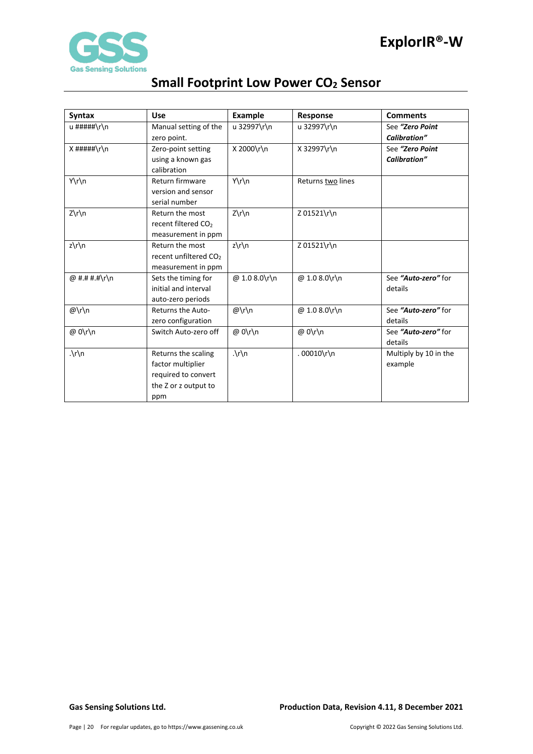

| <b>Syntax</b>           | <b>Use</b>                        | Example                 | Response          | <b>Comments</b>       |
|-------------------------|-----------------------------------|-------------------------|-------------------|-----------------------|
| u #####\r\n             | Manual setting of the             | u 32997\r\n             | u 32997\r\n       | See "Zero Point       |
|                         | zero point.                       |                         |                   | <b>Calibration"</b>   |
| $X$ #####\r\n           | Zero-point setting                | X 2000\r\n              | X 32997\r\n       | See "Zero Point       |
|                         | using a known gas                 |                         |                   | Calibration"          |
|                         | calibration                       |                         |                   |                       |
| Y\r\n                   | Return firmware                   | Y\r\n                   | Returns two lines |                       |
|                         | version and sensor                |                         |                   |                       |
|                         | serial number                     |                         |                   |                       |
| Z\r\n                   | Return the most                   | $Z\r\ln$                | Z 01521\r\n       |                       |
|                         | recent filtered CO <sub>2</sub>   |                         |                   |                       |
|                         | measurement in ppm                |                         |                   |                       |
| $z\prime\prime\prime$ n | Return the most                   | $z\prime\prime\prime$ n | Z 01521\r\n       |                       |
|                         | recent unfiltered CO <sub>2</sub> |                         |                   |                       |
|                         | measurement in ppm                |                         |                   |                       |
| @ #.# #.#\r\n           | Sets the timing for               | @ 1.0 8.0\r\n           | @ 1.0 8.0\r\n     | See "Auto-zero" for   |
|                         | initial and interval              |                         |                   | details               |
|                         | auto-zero periods                 |                         |                   |                       |
| @\r\n                   | Returns the Auto-                 | $@\r\h$                 | @ 1.0 8.0\r\n     | See "Auto-zero" for   |
|                         | zero configuration                |                         |                   | details               |
| @ 0\r\n                 | Switch Auto-zero off              | @ 0\r\n                 | @ 0\r\n           | See "Auto-zero" for   |
|                         |                                   |                         |                   | details               |
| $\cdot \int n$          | Returns the scaling               | $\cdot \ln$             | .00010\r\n        | Multiply by 10 in the |
|                         | factor multiplier                 |                         |                   | example               |
|                         | required to convert               |                         |                   |                       |
|                         | the Z or z output to              |                         |                   |                       |
|                         | ppm                               |                         |                   |                       |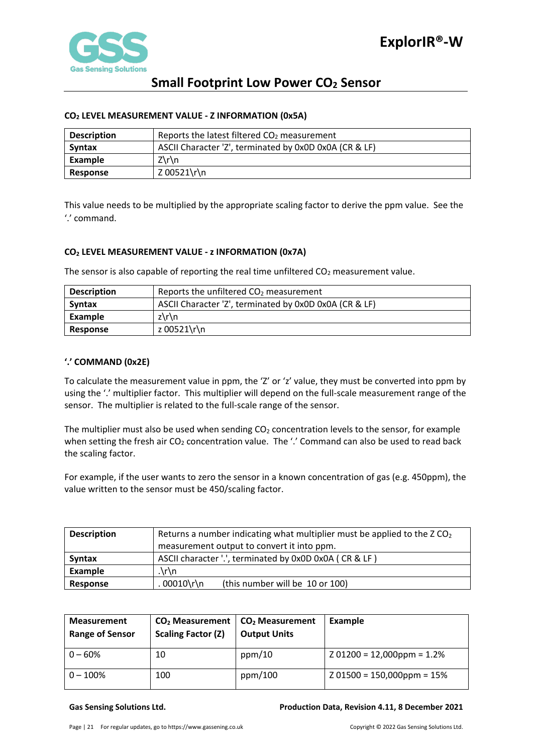

### <span id="page-20-0"></span>**CO2 LEVEL MEASUREMENT VALUE - Z INFORMATION (0x5A)**

| <b>Description</b> | Reports the latest filtered $CO2$ measurement          |  |  |  |
|--------------------|--------------------------------------------------------|--|--|--|
| <b>Syntax</b>      | ASCII Character 'Z', terminated by 0x0D 0x0A (CR & LF) |  |  |  |
| Example            | $Z\Gamma$                                              |  |  |  |
| <b>Response</b>    | Z 00521\r\n                                            |  |  |  |

This value needs to be multiplied by the appropriate scaling factor to derive the ppm value. See the '.' command.

### <span id="page-20-1"></span>**CO2 LEVEL MEASUREMENT VALUE - z INFORMATION (0x7A)**

The sensor is also capable of reporting the real time unfiltered  $CO<sub>2</sub>$  measurement value.

| <b>Description</b> | Reports the unfiltered $CO2$ measurement               |  |  |  |
|--------------------|--------------------------------------------------------|--|--|--|
| <b>Syntax</b>      | ASCII Character 'Z', terminated by 0x0D 0x0A (CR & LF) |  |  |  |
| Example            | z\r\n                                                  |  |  |  |
| Response           | z 00521\r\n                                            |  |  |  |

### <span id="page-20-2"></span>**'.' COMMAND (0x2E)**

To calculate the measurement value in ppm, the 'Z' or 'z' value, they must be converted into ppm by using the '.' multiplier factor. This multiplier will depend on the full-scale measurement range of the sensor. The multiplier is related to the full-scale range of the sensor.

The multiplier must also be used when sending  $CO<sub>2</sub>$  concentration levels to the sensor, for example when setting the fresh air  $CO<sub>2</sub>$  concentration value. The '.' Command can also be used to read back the scaling factor.

For example, if the user wants to zero the sensor in a known concentration of gas (e.g. 450ppm), the value written to the sensor must be 450/scaling factor.

| <b>Description</b> | Returns a number indicating what multiplier must be applied to the $ZCO2$ |  |  |  |  |
|--------------------|---------------------------------------------------------------------------|--|--|--|--|
|                    | measurement output to convert it into ppm.                                |  |  |  |  |
| <b>Syntax</b>      | ASCII character '.', terminated by 0x0D 0x0A (CR & LF)                    |  |  |  |  |
| Example            | $\cdot \ln$                                                               |  |  |  |  |
| Response           | $00010\$ r\n<br>(this number will be 10 or 100)                           |  |  |  |  |

| <b>Measurement</b><br><b>Range of Sensor</b> | $CO2$ Measurement<br><b>Scaling Factor (Z)</b> | CO <sub>2</sub> Measurement<br><b>Output Units</b> | Example                      |
|----------------------------------------------|------------------------------------------------|----------------------------------------------------|------------------------------|
| $0 - 60%$                                    | 10                                             | ppm/10                                             | $201200 = 12,000$ ppm = 1.2% |
| $0 - 100\%$                                  | 100                                            | ppm/100                                            | $201500 = 150,000$ ppm = 15% |

### **Gas Sensing Solutions Ltd. Production Data, Revision 4.11, 8 December 2021**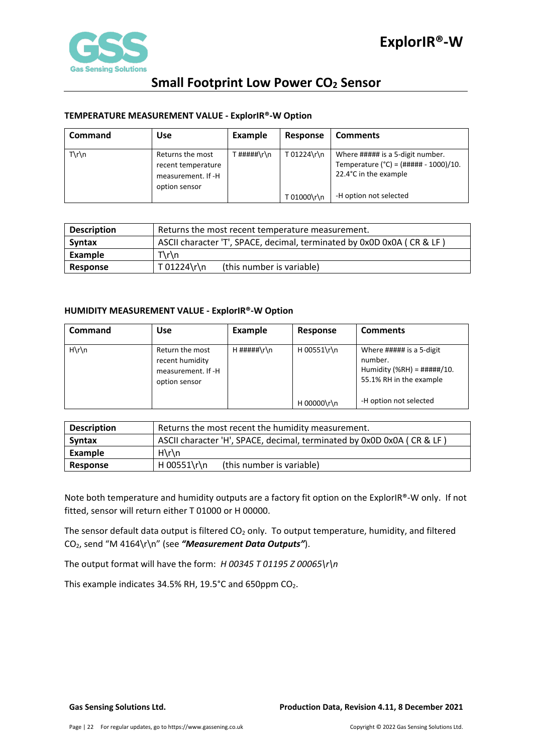

### <span id="page-21-0"></span>**TEMPERATURE MEASUREMENT VALUE - ExplorIR®-W Option**

| <b>Command</b>  | <b>Use</b>                                                                    | Example    | Response    | <b>Comments</b>                                                                                        |
|-----------------|-------------------------------------------------------------------------------|------------|-------------|--------------------------------------------------------------------------------------------------------|
| $T\rrbraket{n}$ | Returns the most<br>recent temperature<br>measurement. If -H<br>option sensor | `#####\r\n | T 01224\r\n | Where ##### is a 5-digit number.<br>Temperature ( $°C$ ) = (##### - 1000)/10.<br>22.4°C in the example |
|                 |                                                                               |            | T 01000\r\n | -H option not selected                                                                                 |

| <b>Description</b> | Returns the most recent temperature measurement.                       |  |  |  |
|--------------------|------------------------------------------------------------------------|--|--|--|
| <b>Syntax</b>      | ASCII character 'T', SPACE, decimal, terminated by 0x0D 0x0A (CR & LF) |  |  |  |
| Example            | $T\rrbraket{n}$                                                        |  |  |  |
| Response           | T 01224\r\n<br>(this number is variable)                               |  |  |  |

### <span id="page-21-1"></span>**HUMIDITY MEASUREMENT VALUE - ExplorIR®-W Option**

| <b>Command</b>  | <b>Use</b>                                                                | <b>Example</b> | Response    | <b>Comments</b>                                                                                         |
|-----------------|---------------------------------------------------------------------------|----------------|-------------|---------------------------------------------------------------------------------------------------------|
| $H\rrbraket{n}$ | Return the most<br>recent humidity<br>measurement. If -H<br>option sensor | $H$ #####\r\n  | H 00551\r\n | Where ##### is a 5-digit<br>number.<br>Humidity (%RH) = $\# \# \# \# / 10$ .<br>55.1% RH in the example |
|                 |                                                                           |                | H 00000\r\n | -H option not selected                                                                                  |

| <b>Description</b> | Returns the most recent the humidity measurement.                      |  |  |  |
|--------------------|------------------------------------------------------------------------|--|--|--|
| Syntax             | ASCII character 'H', SPACE, decimal, terminated by 0x0D 0x0A (CR & LF) |  |  |  |
| Example            | $H\rrbraket{n}$                                                        |  |  |  |
| Response           | H 00551\r\n<br>(this number is variable)                               |  |  |  |

Note both temperature and humidity outputs are a factory fit option on the ExplorIR®-W only. If not fitted, sensor will return either T 01000 or H 00000.

The sensor default data output is filtered  $CO<sub>2</sub>$  only. To output temperature, humidity, and filtered CO2, send "M 4164\r\n" (see *"Measurement Data Outputs"*).

The output format will have the form: *H 00345 T 01195 Z 00065\r\n* 

This example indicates 34.5% RH, 19.5°C and 650ppm CO<sub>2</sub>.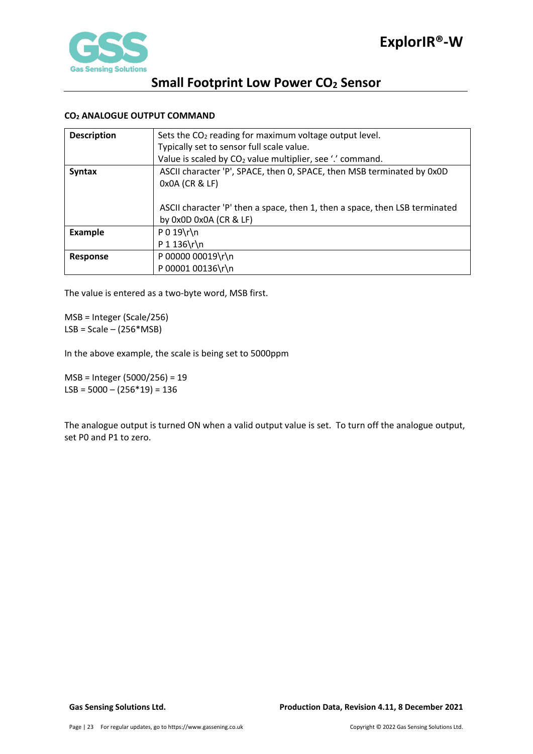

# **Small Footprint Low Power CO<sub>2</sub> Sensor**

### <span id="page-22-0"></span>**CO2 ANALOGUE OUTPUT COMMAND**

| <b>Description</b> | Sets the $CO2$ reading for maximum voltage output level.                    |
|--------------------|-----------------------------------------------------------------------------|
|                    | Typically set to sensor full scale value.                                   |
|                    | Value is scaled by CO <sub>2</sub> value multiplier, see '.' command.       |
| <b>Syntax</b>      | ASCII character 'P', SPACE, then 0, SPACE, then MSB terminated by 0x0D      |
|                    | 0x0A (CR & LF)                                                              |
|                    |                                                                             |
|                    | ASCII character 'P' then a space, then 1, then a space, then LSB terminated |
|                    | by $0x0D$ $0x0A$ $(CR & E)$                                                 |
| <b>Example</b>     | $P 0 19 \rln$                                                               |
|                    | $P 1 136 \r \ln$                                                            |
| <b>Response</b>    | P 00000 00019\r\n                                                           |
|                    | P 00001 00136\r\n                                                           |

The value is entered as a two-byte word, MSB first.

MSB = Integer (Scale/256)  $LSB = Scale - (256*MSB)$ 

In the above example, the scale is being set to 5000ppm

MSB = Integer (5000/256) = 19 LSB =  $5000 - (256*19) = 136$ 

The analogue output is turned ON when a valid output value is set. To turn off the analogue output, set P0 and P1 to zero.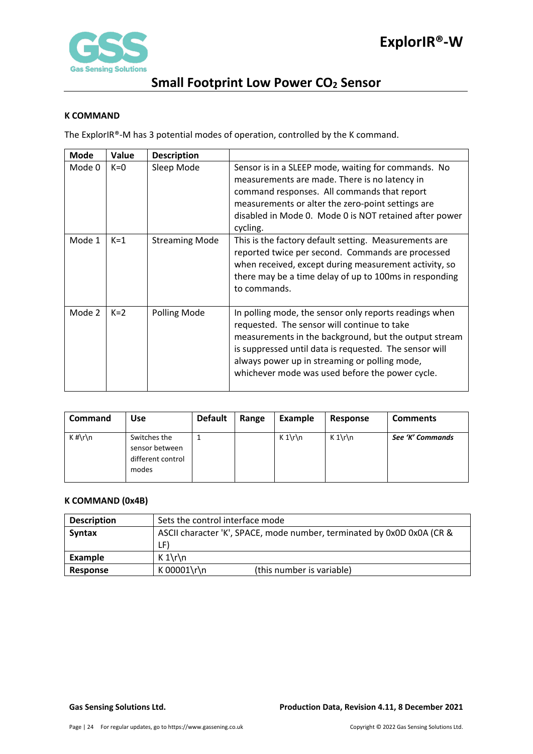

### <span id="page-23-0"></span>**K COMMAND**

The ExplorIR®-M has 3 potential modes of operation, controlled by the K command.

| <b>Mode</b> | Value | <b>Description</b>    |                                                                                                                                                                                                                                                                                                                              |
|-------------|-------|-----------------------|------------------------------------------------------------------------------------------------------------------------------------------------------------------------------------------------------------------------------------------------------------------------------------------------------------------------------|
| Mode 0      | $K=0$ | Sleep Mode            | Sensor is in a SLEEP mode, waiting for commands. No<br>measurements are made. There is no latency in<br>command responses. All commands that report<br>measurements or alter the zero-point settings are<br>disabled in Mode 0. Mode 0 is NOT retained after power<br>cycling.                                               |
| Mode 1      | $K=1$ | <b>Streaming Mode</b> | This is the factory default setting. Measurements are<br>reported twice per second. Commands are processed<br>when received, except during measurement activity, so<br>there may be a time delay of up to 100ms in responding<br>to commands.                                                                                |
| Mode 2      | $K=2$ | Polling Mode          | In polling mode, the sensor only reports readings when<br>requested. The sensor will continue to take<br>measurements in the background, but the output stream<br>is suppressed until data is requested. The sensor will<br>always power up in streaming or polling mode,<br>whichever mode was used before the power cycle. |

| <b>Command</b> | Use                                                          | <b>Default</b> | Range | Example | Response | <b>Comments</b>  |
|----------------|--------------------------------------------------------------|----------------|-------|---------|----------|------------------|
| $K \# \r \n$   | Switches the<br>sensor between<br>different control<br>modes |                |       | $K 1\$  | $K 1\$   | See 'K' Commands |

### <span id="page-23-1"></span>**K COMMAND (0x4B)**

| <b>Description</b> | Sets the control interface mode                                        |  |  |
|--------------------|------------------------------------------------------------------------|--|--|
| Syntax             | ASCII character 'K', SPACE, mode number, terminated by 0x0D 0x0A (CR & |  |  |
|                    | LF)                                                                    |  |  |
| Example            | $K 1\$                                                                 |  |  |
| Response           | K 00001\r\n<br>(this number is variable)                               |  |  |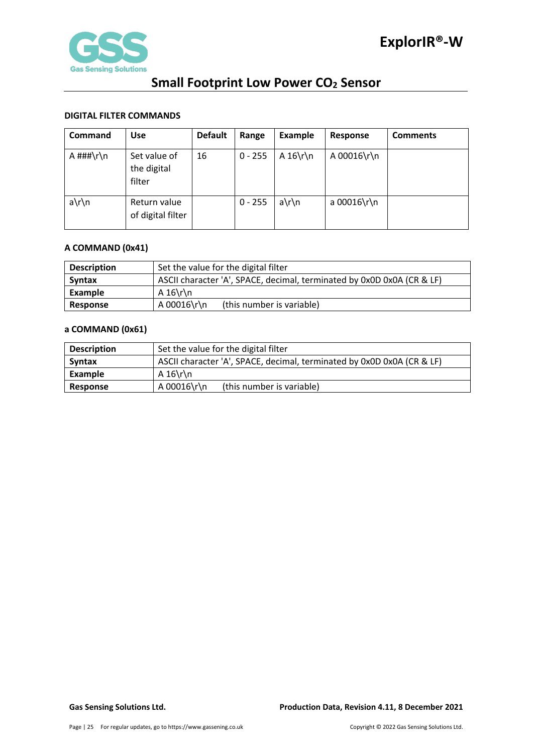

### <span id="page-24-0"></span>**DIGITAL FILTER COMMANDS**

| Command         | <b>Use</b>                            | <b>Default</b> | Range     | <b>Example</b> | Response    | <b>Comments</b> |
|-----------------|---------------------------------------|----------------|-----------|----------------|-------------|-----------------|
| A $\# \# \r \n$ | Set value of<br>the digital<br>filter | 16             | $0 - 255$ | A $16\$ r\     | A 00016\r\n |                 |
| $a\$ n          | Return value<br>of digital filter     |                | $0 - 255$ | $a\$ n         | a 00016\r\n |                 |

### <span id="page-24-1"></span>**A COMMAND (0x41)**

| <b>Description</b> | Set the value for the digital filter                                   |  |  |
|--------------------|------------------------------------------------------------------------|--|--|
| <b>Syntax</b>      | ASCII character 'A', SPACE, decimal, terminated by 0x0D 0x0A (CR & LF) |  |  |
| Example            | A $16\$ r\n                                                            |  |  |
| Response           | A 00016\r\n<br>(this number is variable)                               |  |  |

### <span id="page-24-2"></span>**a COMMAND (0x61)**

| <b>Description</b> | Set the value for the digital filter                                   |  |  |
|--------------------|------------------------------------------------------------------------|--|--|
| <b>Syntax</b>      | ASCII character 'A', SPACE, decimal, terminated by 0x0D 0x0A (CR & LF) |  |  |
| Example            | A $16\$ r\n                                                            |  |  |
| Response           | A 00016\r\n<br>(this number is variable)                               |  |  |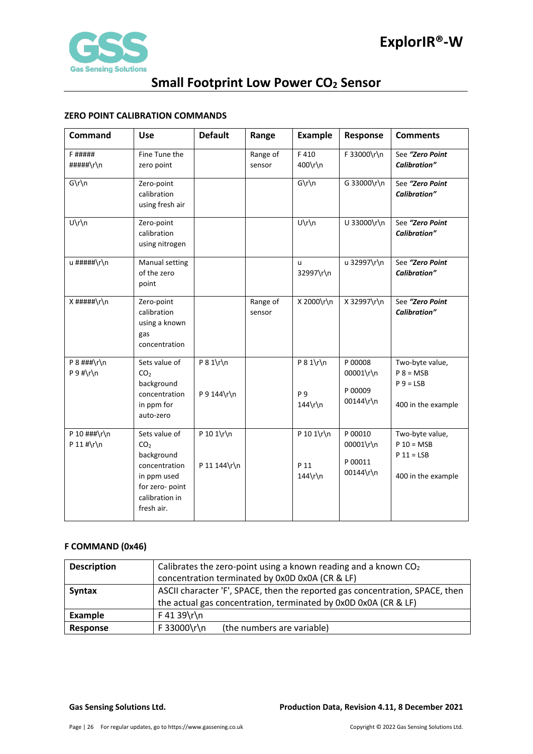

### <span id="page-25-0"></span>**ZERO POINT CALIBRATION COMMANDS**

| Command                           | <b>Use</b>                                                                                                                        | <b>Default</b>              | Range              | <b>Example</b>                    | Response                                     | <b>Comments</b>                                                       |
|-----------------------------------|-----------------------------------------------------------------------------------------------------------------------------------|-----------------------------|--------------------|-----------------------------------|----------------------------------------------|-----------------------------------------------------------------------|
| F #####<br>#####\r\n              | Fine Tune the<br>zero point                                                                                                       |                             | Range of<br>sensor | F410<br>400\r\n                   | F 33000\r\n                                  | See "Zero Point<br><b>Calibration"</b>                                |
| $G\r\ln$                          | Zero-point<br>calibration<br>using fresh air                                                                                      |                             |                    | $G\r\ln$                          | G 33000\r\n                                  | See "Zero Point<br><b>Calibration"</b>                                |
| U\r\n                             | Zero-point<br>calibration<br>using nitrogen                                                                                       |                             |                    | U\r\n                             | U 33000\r\n                                  | See "Zero Point<br><b>Calibration"</b>                                |
| u #####\r\n                       | Manual setting<br>of the zero<br>point                                                                                            |                             |                    | u.<br>32997\r\n                   | u 32997\r\n                                  | See "Zero Point<br><b>Calibration"</b>                                |
| $X$ #####\r\n                     | Zero-point<br>calibration<br>using a known<br>gas<br>concentration                                                                |                             | Range of<br>sensor | X 2000\r\n                        | X 32997\r\n                                  | See "Zero Point<br><b>Calibration"</b>                                |
| $P$ 8 ###\r\n<br>$P 9$ #\r\n      | Sets value of<br>CO <sub>2</sub><br>background<br>concentration<br>in ppm for<br>auto-zero                                        | $P 8 1\$ r\n<br>P 9 144\r\n |                    | $P 8 1\$ r\n<br>P 9<br>$144\$ r\n | P 00008<br>00001\r\n<br>P 00009<br>00144\r\n | Two-byte value,<br>$P 8 = MSB$<br>$P_9 = LSB$<br>400 in the example   |
| P 10 $\#$ # $\r \n$<br>P 11 #\r\n | Sets value of<br>CO <sub>2</sub><br>background<br>concentration<br>in ppm used<br>for zero- point<br>calibration in<br>fresh air. | P 10 1\r\n<br>P 11 144\r\n  |                    | P 10 1\r\n<br>P 11<br>$144\$ r\n  | P 00010<br>00001\r\n<br>P 00011<br>00144\r\n | Two-byte value,<br>$P$ 10 = MSB<br>$P 11 = LSB$<br>400 in the example |

### <span id="page-25-1"></span>**F COMMAND (0x46)**

| <b>Description</b> | Calibrates the zero-point using a known reading and a known $CO2$<br>concentration terminated by 0x0D 0x0A (CR & LF) |
|--------------------|----------------------------------------------------------------------------------------------------------------------|
| <b>Syntax</b>      | ASCII character 'F', SPACE, then the reported gas concentration, SPACE, then                                         |
|                    | the actual gas concentration, terminated by 0x0D 0x0A (CR & LF)                                                      |
| Example            | $F 41 39 \rln$                                                                                                       |
| Response           | F 33000\r\n<br>(the numbers are variable)                                                                            |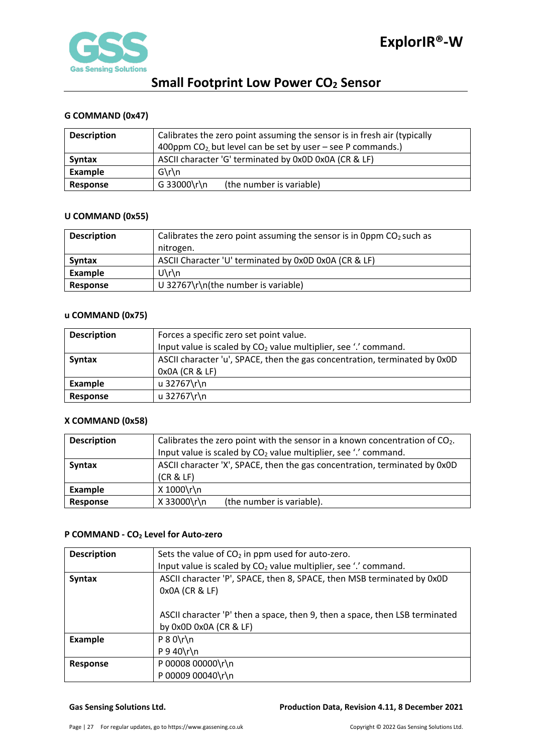

### <span id="page-26-0"></span>**G COMMAND (0x47)**

| <b>Description</b> | Calibrates the zero point assuming the sensor is in fresh air (typically<br>400ppm $CO2$ , but level can be set by user – see P commands.) |  |  |
|--------------------|--------------------------------------------------------------------------------------------------------------------------------------------|--|--|
| <b>Syntax</b>      | ASCII character 'G' terminated by 0x0D 0x0A (CR & LF)                                                                                      |  |  |
| <b>Example</b>     | $G\r\ln$                                                                                                                                   |  |  |
| Response           | G 33000\r\n<br>(the number is variable)                                                                                                    |  |  |

### <span id="page-26-1"></span>**U COMMAND (0x55)**

| <b>Description</b> | Calibrates the zero point assuming the sensor is in 0ppm $CO2$ such as |
|--------------------|------------------------------------------------------------------------|
|                    | nitrogen.                                                              |
| <b>Syntax</b>      | ASCII Character 'U' terminated by 0x0D 0x0A (CR & LF)                  |
| Example            | $U\$ n                                                                 |
| Response           | U 32767\r\n(the number is variable)                                    |

### <span id="page-26-2"></span>**u COMMAND (0x75)**

| <b>Description</b> | Forces a specific zero set point value.                                     |  |  |
|--------------------|-----------------------------------------------------------------------------|--|--|
|                    | Input value is scaled by CO <sub>2</sub> value multiplier, see '.' command. |  |  |
| <b>Syntax</b>      | ASCII character 'u', SPACE, then the gas concentration, terminated by 0x0D  |  |  |
|                    | 0x0A (CR & LF)                                                              |  |  |
| Example            | u 32767\r\n                                                                 |  |  |
| Response           | u 32767\r\n                                                                 |  |  |

### <span id="page-26-3"></span>**X COMMAND (0x58)**

| <b>Description</b> | Calibrates the zero point with the sensor in a known concentration of $CO2$ . |  |  |  |
|--------------------|-------------------------------------------------------------------------------|--|--|--|
|                    | Input value is scaled by CO <sub>2</sub> value multiplier, see '.' command.   |  |  |  |
| <b>Syntax</b>      | ASCII character 'X', SPACE, then the gas concentration, terminated by 0x0D    |  |  |  |
|                    | (CR & LF)                                                                     |  |  |  |
| Example            | X 1000\r\n                                                                    |  |  |  |
| Response           | X 33000\r\n<br>(the number is variable).                                      |  |  |  |

### <span id="page-26-4"></span>**P COMMAND - CO2 Level for Auto-zero**

| <b>Description</b> | Sets the value of $CO2$ in ppm used for auto-zero.                                       |
|--------------------|------------------------------------------------------------------------------------------|
|                    | Input value is scaled by CO <sub>2</sub> value multiplier, see '.' command.              |
| <b>Syntax</b>      | ASCII character 'P', SPACE, then 8, SPACE, then MSB terminated by 0x0D<br>0x0A (CR & LF) |
|                    |                                                                                          |
|                    | ASCII character 'P' then a space, then 9, then a space, then LSB terminated              |
|                    | by 0x0D 0x0A (CR & LF)                                                                   |
| <b>Example</b>     | $P 8 0 \rln$                                                                             |
|                    | $P$ 9 40\r\n                                                                             |
| <b>Response</b>    | P 00008 00000\r\n                                                                        |
|                    | P 00009 00040\r\n                                                                        |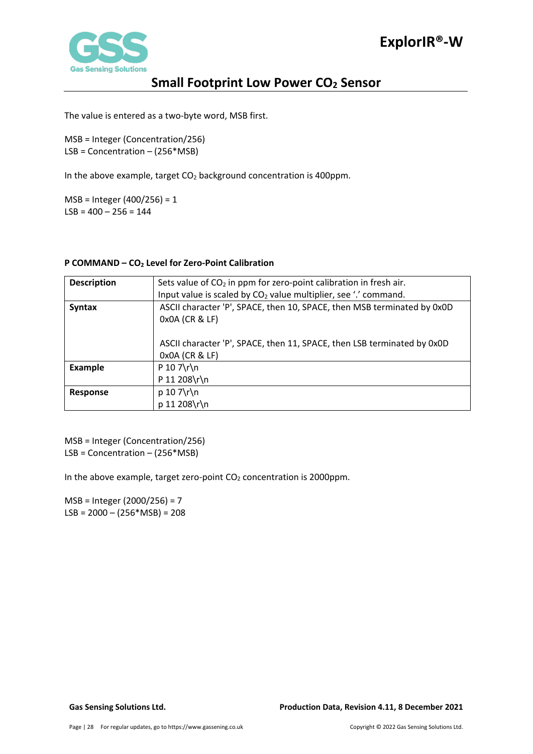

The value is entered as a two-byte word, MSB first.

MSB = Integer (Concentration/256) LSB = Concentration – (256\*MSB)

In the above example, target  $CO<sub>2</sub>$  background concentration is 400ppm.

MSB = Integer (400/256) = 1  $LSB = 400 - 256 = 144$ 

### <span id="page-27-0"></span>**P COMMAND – CO2 Level for Zero-Point Calibration**

| <b>Description</b> | Sets value of $CO2$ in ppm for zero-point calibration in fresh air.                       |
|--------------------|-------------------------------------------------------------------------------------------|
|                    | Input value is scaled by $CO2$ value multiplier, see '.' command.                         |
| <b>Syntax</b>      | ASCII character 'P', SPACE, then 10, SPACE, then MSB terminated by 0x0D<br>0x0A (CR & LF) |
|                    | ASCII character 'P', SPACE, then 11, SPACE, then LSB terminated by 0x0D<br>0x0A (CR & LF) |
| <b>Example</b>     | $P 10 7\$ r\                                                                              |
|                    | P 11 208\r\n                                                                              |
| <b>Response</b>    | $p 10 7\$ r $\n$                                                                          |
|                    | p 11 208\r\n                                                                              |

MSB = Integer (Concentration/256) LSB = Concentration – (256\*MSB)

In the above example, target zero-point  $CO<sub>2</sub>$  concentration is 2000ppm.

MSB = Integer (2000/256) = 7  $LSB = 2000 - (256 * MSB) = 208$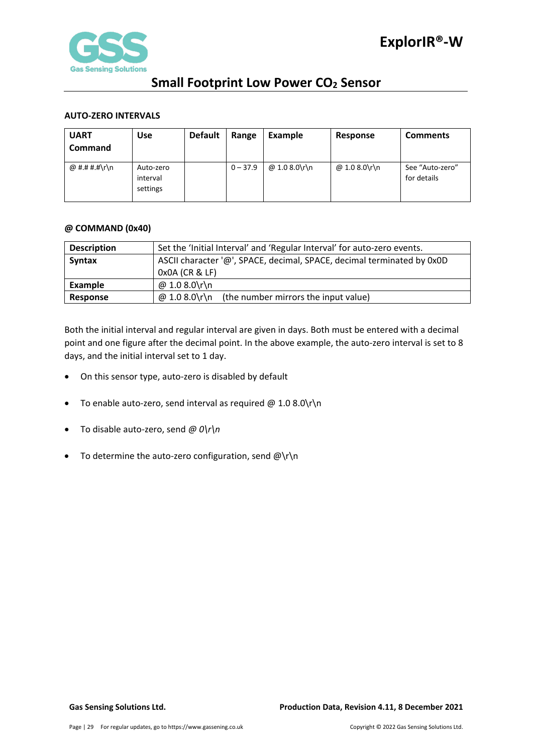

### <span id="page-28-0"></span>**AUTO-ZERO INTERVALS**

| <b>UART</b><br><b>Command</b> | <b>Use</b>                        | <b>Default</b> | Range      | Example       | Response      | <b>Comments</b>                |
|-------------------------------|-----------------------------------|----------------|------------|---------------|---------------|--------------------------------|
| @ #.# #.#\r\n                 | Auto-zero<br>interval<br>settings |                | $0 - 37.9$ | @ 1.0 8.0\r\n | @ 1.0 8.0\r\n | See "Auto-zero"<br>for details |

### <span id="page-28-1"></span>**@ COMMAND (0x40)**

| <b>Description</b> | Set the 'Initial Interval' and 'Regular Interval' for auto-zero events. |  |  |  |  |
|--------------------|-------------------------------------------------------------------------|--|--|--|--|
| <b>Syntax</b>      | ASCII character '@', SPACE, decimal, SPACE, decimal terminated by 0x0D  |  |  |  |  |
|                    | $0x0A$ (CR & LF)                                                        |  |  |  |  |
| Example            | @ 1.0 8.0\r\n                                                           |  |  |  |  |
| Response           | @ 1.0 8.0\r\n<br>(the number mirrors the input value)                   |  |  |  |  |

Both the initial interval and regular interval are given in days. Both must be entered with a decimal point and one figure after the decimal point. In the above example, the auto-zero interval is set to 8 days, and the initial interval set to 1 day.

- On this sensor type, auto-zero is disabled by default
- To enable auto-zero, send interval as required  $@1.08.0\$ r $\n\$ n
- To disable auto-zero, send *@ 0\r\n*
- To determine the auto-zero configuration, send  $@{\rceil}r{\rceil}n$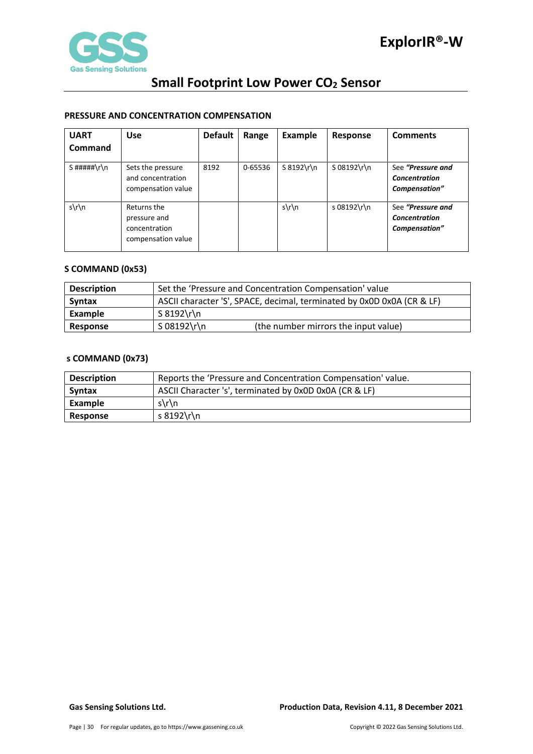

### <span id="page-29-0"></span>**PRESSURE AND CONCENTRATION COMPENSATION**

| <b>UART</b>   | <b>Use</b>                                                         | <b>Default</b> | Range   | Example       | Response    | <b>Comments</b>                                            |
|---------------|--------------------------------------------------------------------|----------------|---------|---------------|-------------|------------------------------------------------------------|
| Command       |                                                                    |                |         |               |             |                                                            |
| $S$ #####\r\n | Sets the pressure<br>and concentration<br>compensation value       | 8192           | 0-65536 | $S 8192\$ r\n | S 08192\r\n | See "Pressure and<br><b>Concentration</b><br>Compensation" |
| $s\$ n        | Returns the<br>pressure and<br>concentration<br>compensation value |                |         | $s\$ n        | s 08192\r\n | See "Pressure and<br><b>Concentration</b><br>Compensation" |

### <span id="page-29-1"></span>**S COMMAND (0x53)**

| <b>Description</b> | Set the 'Pressure and Concentration Compensation' value                |  |  |  |
|--------------------|------------------------------------------------------------------------|--|--|--|
| <b>Syntax</b>      | ASCII character 'S', SPACE, decimal, terminated by 0x0D 0x0A (CR & LF) |  |  |  |
| Example            | S 8192\r\n                                                             |  |  |  |
| Response           | S 08192\r\n<br>(the number mirrors the input value)                    |  |  |  |

### <span id="page-29-2"></span>**s COMMAND (0x73)**

| <b>Description</b> | Reports the 'Pressure and Concentration Compensation' value. |  |  |  |
|--------------------|--------------------------------------------------------------|--|--|--|
| <b>Syntax</b>      | ASCII Character 's', terminated by 0x0D 0x0A (CR & LF)       |  |  |  |
| Example            | $s\ln n$                                                     |  |  |  |
| <b>Response</b>    | s 8192\r\n                                                   |  |  |  |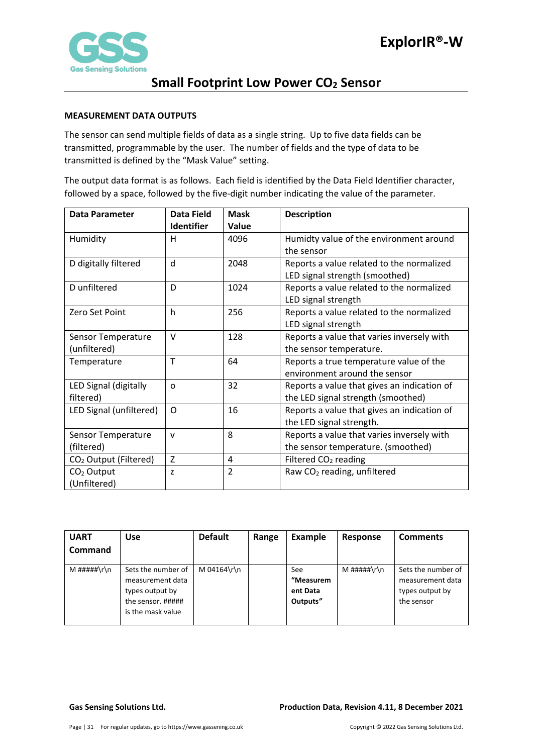

### <span id="page-30-0"></span>**MEASUREMENT DATA OUTPUTS**

The sensor can send multiple fields of data as a single string. Up to five data fields can be transmitted, programmable by the user. The number of fields and the type of data to be transmitted is defined by the "Mask Value" setting.

The output data format is as follows. Each field is identified by the Data Field Identifier character, followed by a space, followed by the five-digit number indicating the value of the parameter.

| <b>Data Parameter</b>             | Data Field        | <b>Mask</b>    | <b>Description</b>                          |
|-----------------------------------|-------------------|----------------|---------------------------------------------|
|                                   | <b>Identifier</b> | Value          |                                             |
| Humidity                          | н                 | 4096           | Humidty value of the environment around     |
|                                   |                   |                | the sensor                                  |
| D digitally filtered              | d                 | 2048           | Reports a value related to the normalized   |
|                                   |                   |                | LED signal strength (smoothed)              |
| D unfiltered                      | D                 | 1024           | Reports a value related to the normalized   |
|                                   |                   |                | LED signal strength                         |
| Zero Set Point                    | h                 | 256            | Reports a value related to the normalized   |
|                                   |                   |                | LED signal strength                         |
| Sensor Temperature                | $\vee$            | 128            | Reports a value that varies inversely with  |
| (unfiltered)                      |                   |                | the sensor temperature.                     |
| Temperature                       | T                 | 64             | Reports a true temperature value of the     |
|                                   |                   |                | environment around the sensor               |
| LED Signal (digitally             | $\Omega$          | 32             | Reports a value that gives an indication of |
| filtered)                         |                   |                | the LED signal strength (smoothed)          |
| LED Signal (unfiltered)           | O                 | 16             | Reports a value that gives an indication of |
|                                   |                   |                | the LED signal strength.                    |
| Sensor Temperature                | $\mathsf{V}$      | 8              | Reports a value that varies inversely with  |
| (filtered)                        |                   |                | the sensor temperature. (smoothed)          |
| CO <sub>2</sub> Output (Filtered) | Z                 | 4              | Filtered CO <sub>2</sub> reading            |
| $CO2$ Output                      | z                 | $\overline{2}$ | Raw CO <sub>2</sub> reading, unfiltered     |
| (Unfiltered)                      |                   |                |                                             |

| <b>UART</b><br>Command | <b>Use</b>                                                                                          | <b>Default</b> | Range | Example                                  | Response    | <b>Comments</b>                                                         |
|------------------------|-----------------------------------------------------------------------------------------------------|----------------|-------|------------------------------------------|-------------|-------------------------------------------------------------------------|
| M #####\r\n            | Sets the number of<br>measurement data<br>types output by<br>the sensor. #####<br>is the mask value | M 04164\r\n    |       | See<br>"Measurem<br>ent Data<br>Outputs" | M #####\r\n | Sets the number of<br>measurement data<br>types output by<br>the sensor |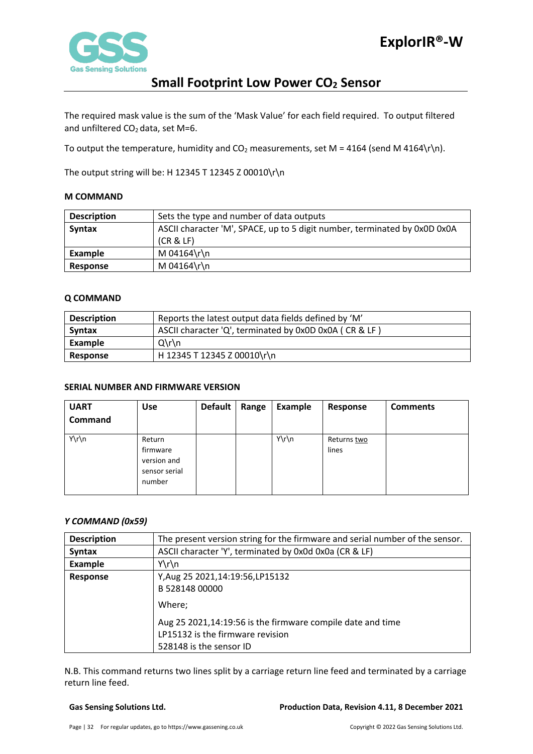

The required mask value is the sum of the 'Mask Value' for each field required. To output filtered and unfiltered  $CO<sub>2</sub>$  data, set M=6.

To output the temperature, humidity and  $CO<sub>2</sub>$  measurements, set M = 4164 (send M 4164\r\n).

The output string will be: H 12345 T 12345 Z 00010\r\n

### <span id="page-31-0"></span>**M COMMAND**

| <b>Description</b> | Sets the type and number of data outputs                                  |  |  |  |  |
|--------------------|---------------------------------------------------------------------------|--|--|--|--|
| <b>Syntax</b>      | ASCII character 'M', SPACE, up to 5 digit number, terminated by 0x0D 0x0A |  |  |  |  |
|                    | (CR & E)                                                                  |  |  |  |  |
| Example            | M 04164\r\n                                                               |  |  |  |  |
| Response           | M 04164\r\n                                                               |  |  |  |  |

### <span id="page-31-1"></span>**Q COMMAND**

| <b>Description</b> | Reports the latest output data fields defined by 'M'   |  |  |  |  |
|--------------------|--------------------------------------------------------|--|--|--|--|
| Syntax             | ASCII character 'Q', terminated by 0x0D 0x0A (CR & LF) |  |  |  |  |
| Example            | $Q\Gamma$                                              |  |  |  |  |
| Response           | H 12345 T 12345 Z 00010\r\n                            |  |  |  |  |

### <span id="page-31-2"></span>**SERIAL NUMBER AND FIRMWARE VERSION**

| <b>UART</b>    | <b>Use</b>                                                   | <b>Default</b> | Range | <b>Example</b> | Response             | <b>Comments</b> |
|----------------|--------------------------------------------------------------|----------------|-------|----------------|----------------------|-----------------|
| <b>Command</b> |                                                              |                |       |                |                      |                 |
| Y\r\n          | Return<br>firmware<br>version and<br>sensor serial<br>number |                |       | Y\r\n          | Returns two<br>lines |                 |

### *Y COMMAND (0x59)*

| <b>Description</b> | The present version string for the firmware and serial number of the sensor. |  |  |  |  |  |
|--------------------|------------------------------------------------------------------------------|--|--|--|--|--|
| <b>Syntax</b>      | ASCII character 'Y', terminated by 0x0d 0x0a (CR & LF)                       |  |  |  |  |  |
| Example            | $Y\r\ln$                                                                     |  |  |  |  |  |
| <b>Response</b>    | Y, Aug 25 2021, 14: 19: 56, LP 15132<br>B 528148 00000                       |  |  |  |  |  |
|                    | Where;                                                                       |  |  |  |  |  |
|                    | Aug 25 2021,14:19:56 is the firmware compile date and time                   |  |  |  |  |  |
|                    | LP15132 is the firmware revision                                             |  |  |  |  |  |
|                    | 528148 is the sensor ID                                                      |  |  |  |  |  |

N.B. This command returns two lines split by a carriage return line feed and terminated by a carriage return line feed.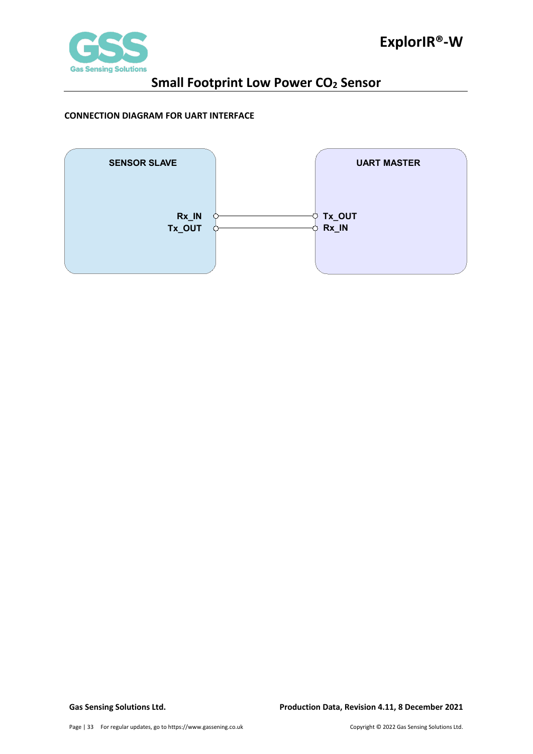

### <span id="page-32-0"></span>**CONNECTION DIAGRAM FOR UART INTERFACE**

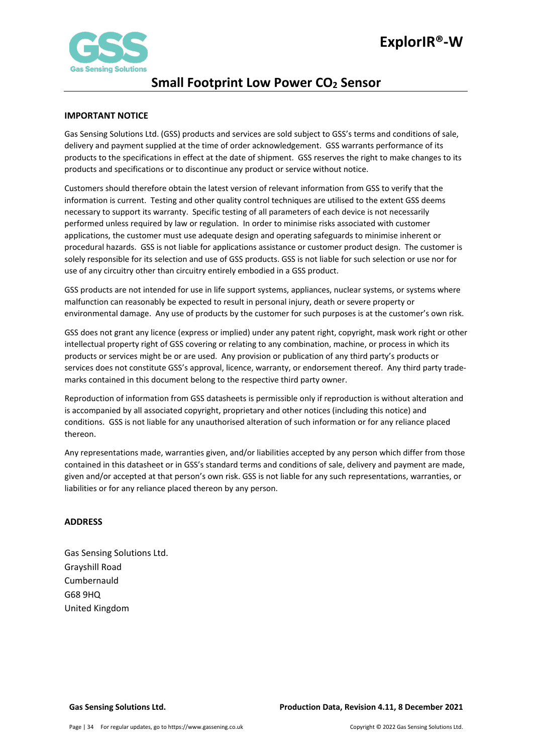

### <span id="page-33-0"></span>**IMPORTANT NOTICE**

Gas Sensing Solutions Ltd. (GSS) products and services are sold subject to GSS's terms and conditions of sale, delivery and payment supplied at the time of order acknowledgement. GSS warrants performance of its products to the specifications in effect at the date of shipment. GSS reserves the right to make changes to its products and specifications or to discontinue any product or service without notice.

Customers should therefore obtain the latest version of relevant information from GSS to verify that the information is current. Testing and other quality control techniques are utilised to the extent GSS deems necessary to support its warranty. Specific testing of all parameters of each device is not necessarily performed unless required by law or regulation. In order to minimise risks associated with customer applications, the customer must use adequate design and operating safeguards to minimise inherent or procedural hazards. GSS is not liable for applications assistance or customer product design. The customer is solely responsible for its selection and use of GSS products. GSS is not liable for such selection or use nor for use of any circuitry other than circuitry entirely embodied in a GSS product.

GSS products are not intended for use in life support systems, appliances, nuclear systems, or systems where malfunction can reasonably be expected to result in personal injury, death or severe property or environmental damage. Any use of products by the customer for such purposes is at the customer's own risk.

GSS does not grant any licence (express or implied) under any patent right, copyright, mask work right or other intellectual property right of GSS covering or relating to any combination, machine, or process in which its products or services might be or are used. Any provision or publication of any third party's products or services does not constitute GSS's approval, licence, warranty, or endorsement thereof. Any third party trademarks contained in this document belong to the respective third party owner.

Reproduction of information from GSS datasheets is permissible only if reproduction is without alteration and is accompanied by all associated copyright, proprietary and other notices (including this notice) and conditions. GSS is not liable for any unauthorised alteration of such information or for any reliance placed thereon.

Any representations made, warranties given, and/or liabilities accepted by any person which differ from those contained in this datasheet or in GSS's standard terms and conditions of sale, delivery and payment are made, given and/or accepted at that person's own risk. GSS is not liable for any such representations, warranties, or liabilities or for any reliance placed thereon by any person.

### <span id="page-33-1"></span>**ADDRESS**

Gas Sensing Solutions Ltd. Grayshill Road Cumbernauld G68 9HQ United Kingdom